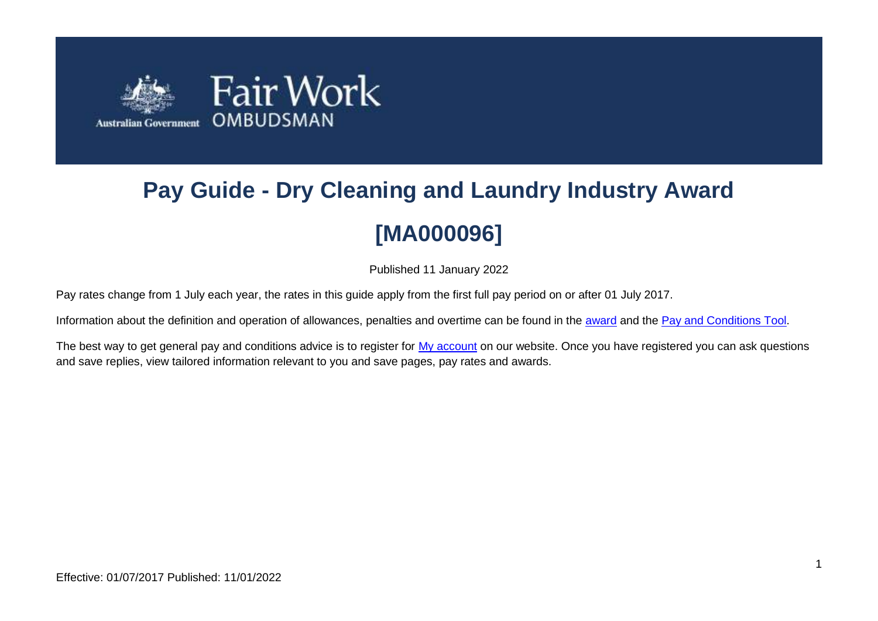

# **Pay Guide - Dry Cleaning and Laundry Industry Award [MA000096]**

Published 11 January 2022

Pay rates change from 1 July each year, the rates in this guide apply from the first full pay period on or after 01 July 2017.

Information about the definition and operation of allowances, penalties and overtime can be found in the [award](https://www.fairwork.gov.au/awards-and-agreements/awards/list-of-awards) and the [Pay and Conditions Tool.](https://calculate.fairwork.gov.au/)

The best way to get general pay and conditions advice is to register for [My account](https://www.fairwork.gov.au/my-account/registerpage.aspx) on our website. Once you have registered you can ask questions and save replies, view tailored information relevant to you and save pages, pay rates and awards.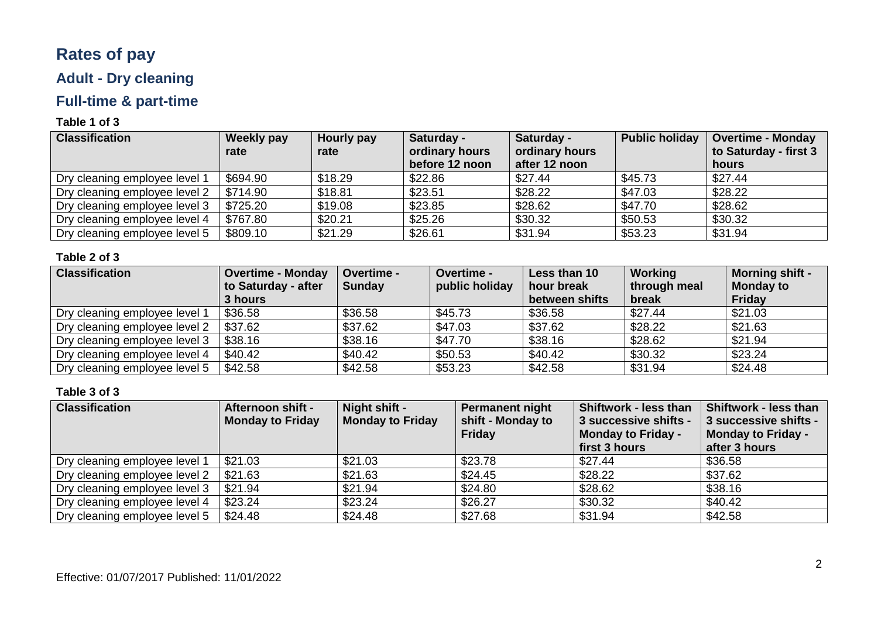# **Rates of pay**

# **Adult - Dry cleaning**

# **Full-time & part-time**

### **Table 1 of 3**

| <b>Classification</b>         | <b>Weekly pay</b><br>rate | Hourly pay<br>rate | Saturday -<br>ordinary hours<br>before 12 noon | Saturday -<br>ordinary hours<br>after 12 noon | <b>Public holiday</b> | <b>Overtime - Monday</b><br>to Saturday - first 3<br>hours |
|-------------------------------|---------------------------|--------------------|------------------------------------------------|-----------------------------------------------|-----------------------|------------------------------------------------------------|
| Dry cleaning employee level 1 | \$694.90                  | \$18.29            | \$22.86                                        | \$27.44                                       | \$45.73               | \$27.44                                                    |
| Dry cleaning employee level 2 | \$714.90                  | \$18.81            | \$23.51                                        | \$28.22                                       | \$47.03               | \$28.22                                                    |
| Dry cleaning employee level 3 | \$725.20                  | \$19.08            | \$23.85                                        | \$28.62                                       | \$47.70               | \$28.62                                                    |
| Dry cleaning employee level 4 | \$767.80                  | \$20.21            | \$25.26                                        | \$30.32                                       | \$50.53               | \$30.32                                                    |
| Dry cleaning employee level 5 | \$809.10                  | \$21.29            | \$26.61                                        | \$31.94                                       | \$53.23               | \$31.94                                                    |

### **Table 2 of 3**

| <b>Classification</b>         | <b>Overtime - Monday</b> | Overtime -    | <b>Overtime -</b> | Less than 10   | Working      | <b>Morning shift -</b> |
|-------------------------------|--------------------------|---------------|-------------------|----------------|--------------|------------------------|
|                               | to Saturday - after      | <b>Sunday</b> | public holiday    | hour break     | through meal | <b>Monday to</b>       |
|                               | 3 hours                  |               |                   | between shifts | break        | <b>Friday</b>          |
| Dry cleaning employee level 1 | \$36.58                  | \$36.58       | \$45.73           | \$36.58        | \$27.44      | \$21.03                |
| Dry cleaning employee level 2 | \$37.62                  | \$37.62       | \$47.03           | \$37.62        | \$28.22      | \$21.63                |
| Dry cleaning employee level 3 | \$38.16                  | \$38.16       | \$47.70           | \$38.16        | \$28.62      | \$21.94                |
| Dry cleaning employee level 4 | \$40.42                  | \$40.42       | \$50.53           | \$40.42        | \$30.32      | \$23.24                |
| Dry cleaning employee level 5 | \$42.58                  | \$42.58       | \$53.23           | \$42.58        | \$31.94      | \$24.48                |

| <b>Classification</b>         | Afternoon shift -<br><b>Monday to Friday</b> | Night shift -<br><b>Monday to Friday</b> | <b>Permanent night</b><br>shift - Monday to<br>Friday | Shiftwork - less than<br>3 successive shifts -<br><b>Monday to Friday -</b><br>first 3 hours | <b>Shiftwork - less than</b><br>3 successive shifts -<br><b>Monday to Friday -</b><br>after 3 hours |
|-------------------------------|----------------------------------------------|------------------------------------------|-------------------------------------------------------|----------------------------------------------------------------------------------------------|-----------------------------------------------------------------------------------------------------|
| Dry cleaning employee level 1 | \$21.03                                      | \$21.03                                  | \$23.78                                               | \$27.44                                                                                      | \$36.58                                                                                             |
| Dry cleaning employee level 2 | \$21.63                                      | \$21.63                                  | \$24.45                                               | \$28.22                                                                                      | \$37.62                                                                                             |
| Dry cleaning employee level 3 | \$21.94                                      | \$21.94                                  | \$24.80                                               | \$28.62                                                                                      | \$38.16                                                                                             |
| Dry cleaning employee level 4 | \$23.24                                      | \$23.24                                  | \$26.27                                               | \$30.32                                                                                      | \$40.42                                                                                             |
| Dry cleaning employee level 5 | \$24.48                                      | \$24.48                                  | \$27.68                                               | \$31.94                                                                                      | \$42.58                                                                                             |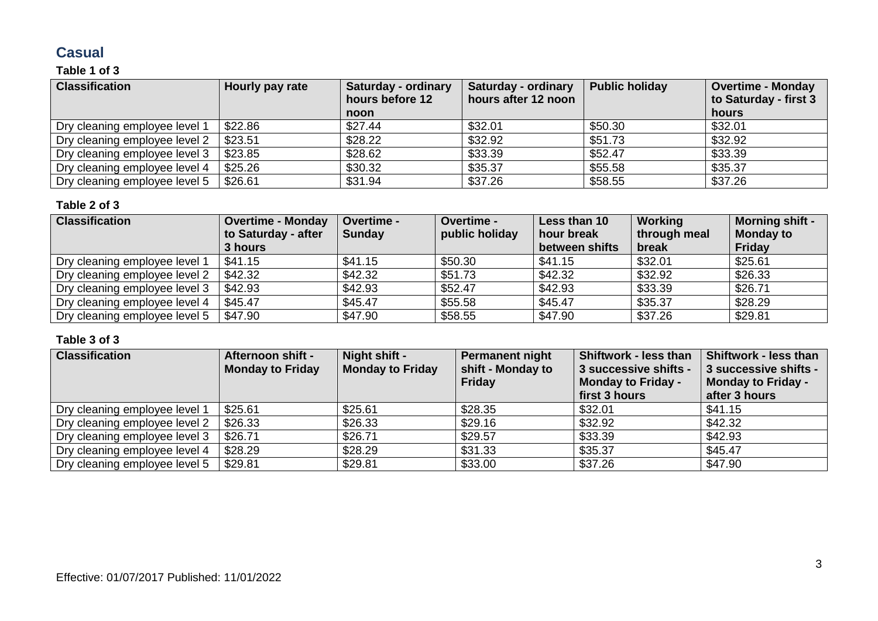# **Casual**

### **Table 1 of 3**

| <b>Classification</b>         | Hourly pay rate | <b>Saturday - ordinary</b><br>hours before 12 | <b>Saturday - ordinary</b><br>hours after 12 noon | <b>Public holiday</b> | <b>Overtime - Monday</b><br>to Saturday - first 3 |
|-------------------------------|-----------------|-----------------------------------------------|---------------------------------------------------|-----------------------|---------------------------------------------------|
|                               |                 | <b>noon</b>                                   |                                                   |                       | hours                                             |
| Dry cleaning employee level 1 | \$22.86         | \$27.44                                       | \$32.01                                           | \$50.30               | \$32.01                                           |
| Dry cleaning employee level 2 | \$23.51         | \$28.22                                       | \$32.92                                           | \$51.73               | \$32.92                                           |
| Dry cleaning employee level 3 | \$23.85         | \$28.62                                       | \$33.39                                           | \$52.47               | \$33.39                                           |
| Dry cleaning employee level 4 | \$25.26         | \$30.32                                       | \$35.37                                           | \$55.58               | \$35.37                                           |
| Dry cleaning employee level 5 | \$26.61         | \$31.94                                       | \$37.26                                           | \$58.55               | \$37.26                                           |

#### **Table 2 of 3**

| <b>Classification</b>         | <b>Overtime - Monday</b><br>to Saturday - after<br>3 hours | Overtime -<br><b>Sunday</b> | Overtime -<br>public holiday | Less than 10<br>hour break<br>between shifts | <b>Working</b><br>through meal<br>break | <b>Morning shift -</b><br><b>Monday to</b><br>Friday |
|-------------------------------|------------------------------------------------------------|-----------------------------|------------------------------|----------------------------------------------|-----------------------------------------|------------------------------------------------------|
| Dry cleaning employee level 1 | \$41.15                                                    | \$41.15                     | \$50.30                      | \$41.15                                      | \$32.01                                 | \$25.61                                              |
| Dry cleaning employee level 2 | \$42.32                                                    | \$42.32                     | \$51.73                      | \$42.32                                      | \$32.92                                 | \$26.33                                              |
| Dry cleaning employee level 3 | \$42.93                                                    | \$42.93                     | \$52.47                      | \$42.93                                      | \$33.39                                 | \$26.71                                              |
| Dry cleaning employee level 4 | \$45.47                                                    | \$45.47                     | \$55.58                      | \$45.47                                      | \$35.37                                 | \$28.29                                              |
| Dry cleaning employee level 5 | \$47.90                                                    | \$47.90                     | \$58.55                      | \$47.90                                      | \$37.26                                 | \$29.81                                              |

| <b>Classification</b>         | Afternoon shift -<br><b>Monday to Friday</b> | Night shift -<br><b>Monday to Friday</b> | <b>Permanent night</b><br>shift - Monday to<br>Friday | Shiftwork - less than<br>3 successive shifts -<br><b>Monday to Friday -</b><br>first 3 hours | Shiftwork - less than<br>3 successive shifts -<br>Monday to Friday -<br>after 3 hours |
|-------------------------------|----------------------------------------------|------------------------------------------|-------------------------------------------------------|----------------------------------------------------------------------------------------------|---------------------------------------------------------------------------------------|
| Dry cleaning employee level 1 | \$25.61                                      | \$25.61                                  | \$28.35                                               | \$32.01                                                                                      | \$41.15                                                                               |
| Dry cleaning employee level 2 | \$26.33                                      | \$26.33                                  | \$29.16                                               | \$32.92                                                                                      | \$42.32                                                                               |
| Dry cleaning employee level 3 | \$26.71                                      | \$26.71                                  | \$29.57                                               | \$33.39                                                                                      | \$42.93                                                                               |
| Dry cleaning employee level 4 | \$28.29                                      | \$28.29                                  | \$31.33                                               | \$35.37                                                                                      | \$45.47                                                                               |
| Dry cleaning employee level 5 | \$29.81                                      | \$29.81                                  | \$33.00                                               | \$37.26                                                                                      | \$47.90                                                                               |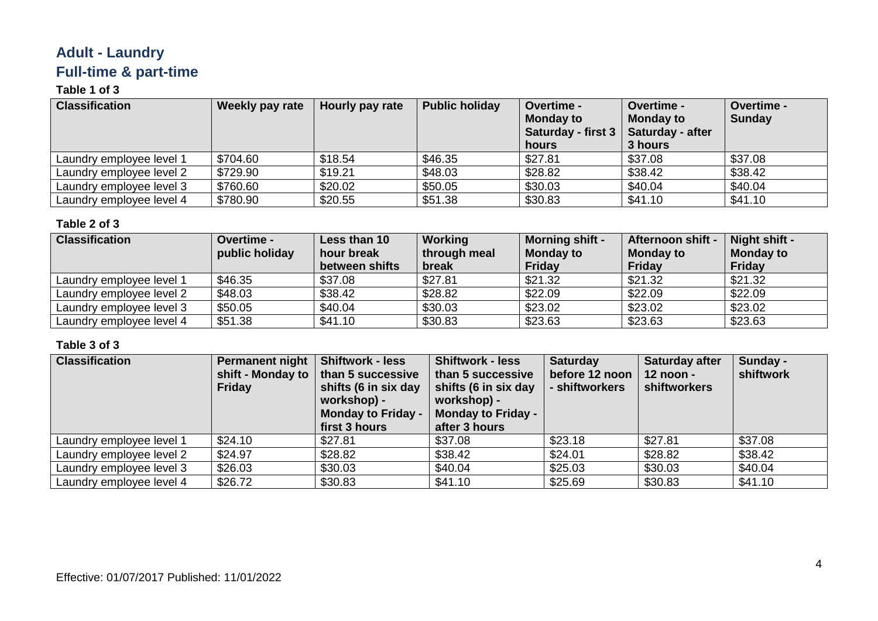# **Adult - Laundry Full-time & part-time**

### **Table 1 of 3**

| <b>Classification</b>    | Weekly pay rate | Hourly pay rate | <b>Public holiday</b> | Overtime -<br><b>Monday to</b><br>Saturday - first 3   Saturday - after<br>hours | Overtime -<br><b>Monday to</b><br>3 hours | Overtime -<br><b>Sunday</b> |
|--------------------------|-----------------|-----------------|-----------------------|----------------------------------------------------------------------------------|-------------------------------------------|-----------------------------|
| Laundry employee level 1 | \$704.60        | \$18.54         | \$46.35               | \$27.81                                                                          | \$37.08                                   | \$37.08                     |
| Laundry employee level 2 | \$729.90        | \$19.21         | \$48.03               | \$28.82                                                                          | \$38.42                                   | \$38.42                     |
| Laundry employee level 3 | \$760.60        | \$20.02         | \$50.05               | \$30.03                                                                          | \$40.04                                   | \$40.04                     |
| Laundry employee level 4 | \$780.90        | \$20.55         | \$51.38               | \$30.83                                                                          | \$41.10                                   | \$41.10                     |

#### **Table 2 of 3**

| <b>Classification</b>    | <b>Overtime -</b><br>public holiday | Less than 10<br>hour break | Working<br>through meal | <b>Morning shift -</b><br><b>Monday to</b> | <b>Afternoon shift -</b><br>Monday to | Night shift -<br><b>Monday to</b> |
|--------------------------|-------------------------------------|----------------------------|-------------------------|--------------------------------------------|---------------------------------------|-----------------------------------|
|                          |                                     | between shifts             | break                   | Friday                                     | Friday                                | Friday                            |
| Laundry employee level 1 | \$46.35                             | \$37.08                    | \$27.81                 | \$21.32                                    | \$21.32                               | \$21.32                           |
| Laundry employee level 2 | \$48.03                             | \$38.42                    | \$28.82                 | \$22.09                                    | \$22.09                               | \$22.09                           |
| Laundry employee level 3 | \$50.05                             | \$40.04                    | \$30.03                 | \$23.02                                    | \$23.02                               | \$23.02                           |
| Laundry employee level 4 | \$51.38                             | \$41.10                    | \$30.83                 | \$23.63                                    | \$23.63                               | \$23.63                           |

| <b>Classification</b>    | <b>Permanent night</b><br>Friday | <b>Shiftwork - less</b><br>shift - Monday to $\vert$ than 5 successive<br>shifts (6 in six day<br>workshop) -<br><b>Monday to Friday -</b><br>first 3 hours | <b>Shiftwork - less</b><br>than 5 successive<br>shifts (6 in six day<br>workshop) -<br><b>Monday to Friday -</b><br>after 3 hours | <b>Saturday</b><br>before 12 noon<br>- shiftworkers | <b>Saturday after</b><br>12 noon -<br>shiftworkers | Sunday -<br>shiftwork |
|--------------------------|----------------------------------|-------------------------------------------------------------------------------------------------------------------------------------------------------------|-----------------------------------------------------------------------------------------------------------------------------------|-----------------------------------------------------|----------------------------------------------------|-----------------------|
| Laundry employee level 1 | \$24.10                          | \$27.81                                                                                                                                                     | \$37.08                                                                                                                           | \$23.18                                             | \$27.81                                            | \$37.08               |
| Laundry employee level 2 | \$24.97                          | \$28.82                                                                                                                                                     | \$38.42                                                                                                                           | \$24.01                                             | \$28.82                                            | \$38.42               |
| Laundry employee level 3 | \$26.03                          | \$30.03                                                                                                                                                     | \$40.04                                                                                                                           | \$25.03                                             | \$30.03                                            | \$40.04               |
| Laundry employee level 4 | \$26.72                          | \$30.83                                                                                                                                                     | \$41.10                                                                                                                           | \$25.69                                             | \$30.83                                            | \$41.10               |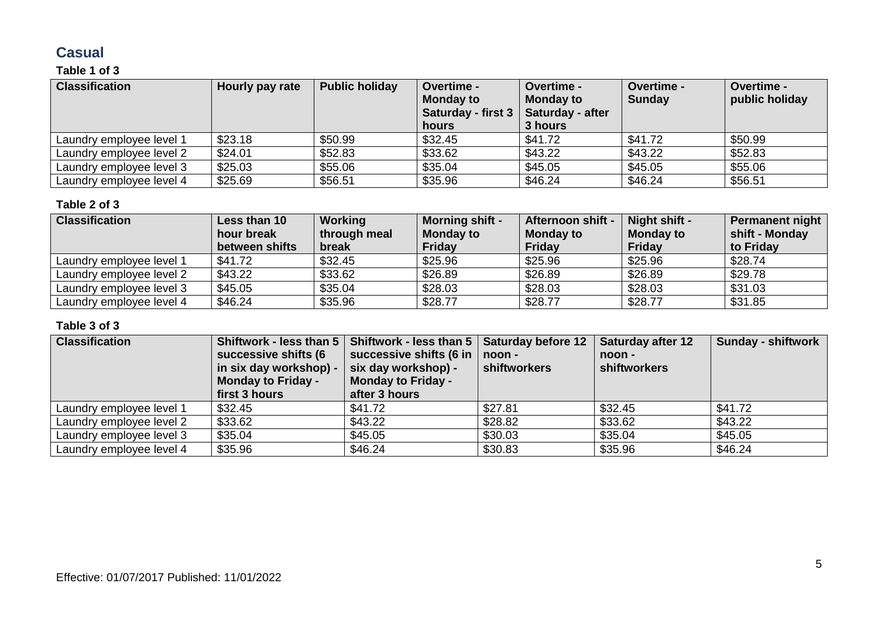# **Casual**

### **Table 1 of 3**

| <b>Classification</b>    | Hourly pay rate | <b>Public holiday</b> | <b>Overtime -</b><br><b>Monday to</b><br>Saturday - first 3   Saturday - after<br>hours | <b>Overtime -</b><br><b>Monday to</b><br>3 hours | Overtime -<br><b>Sunday</b> | <b>Overtime -</b><br>public holiday |
|--------------------------|-----------------|-----------------------|-----------------------------------------------------------------------------------------|--------------------------------------------------|-----------------------------|-------------------------------------|
| Laundry employee level 1 | \$23.18         | \$50.99               | \$32.45                                                                                 | \$41.72                                          | \$41.72                     | \$50.99                             |
| Laundry employee level 2 | \$24.01         | \$52.83               | \$33.62                                                                                 | \$43.22                                          | \$43.22                     | \$52.83                             |
| Laundry employee level 3 | \$25.03         | \$55.06               | \$35.04                                                                                 | \$45.05                                          | \$45.05                     | \$55.06                             |
| Laundry employee level 4 | \$25.69         | \$56.51               | \$35.96                                                                                 | \$46.24                                          | \$46.24                     | \$56.51                             |

#### **Table 2 of 3**

| <b>Classification</b>    | Less than 10   | Working      | <b>Morning shift -</b> | Afternoon shift - | Night shift -    | Permanent night |
|--------------------------|----------------|--------------|------------------------|-------------------|------------------|-----------------|
|                          | hour break     | through meal | <b>Monday to</b>       | <b>Monday to</b>  | <b>Monday to</b> | shift - Monday  |
|                          | between shifts | break        | Friday                 | Friday            | Friday           | to Friday       |
| Laundry employee level 1 | \$41.72        | \$32.45      | \$25.96                | \$25.96           | \$25.96          | \$28.74         |
| Laundry employee level 2 | \$43.22        | \$33.62      | \$26.89                | \$26.89           | \$26.89          | \$29.78         |
| Laundry employee level 3 | \$45.05        | \$35.04      | \$28.03                | \$28.03           | \$28.03          | \$31.03         |
| Laundry employee level 4 | \$46.24        | \$35.96      | \$28.77                | \$28.77           | \$28.77          | \$31.85         |

| <b>Classification</b>    | Shiftwork - less than 5<br>successive shifts (6<br>in six day workshop) -<br><b>Monday to Friday -</b><br>first 3 hours | Shiftwork - less than 5<br>successive shifts (6 in<br>six day workshop) -<br><b>Monday to Friday -</b><br>after 3 hours | <b>Saturday before 12</b><br>noon -<br>shiftworkers | <b>Saturday after 12</b><br>noon -<br>shiftworkers | <b>Sunday - shiftwork</b> |
|--------------------------|-------------------------------------------------------------------------------------------------------------------------|-------------------------------------------------------------------------------------------------------------------------|-----------------------------------------------------|----------------------------------------------------|---------------------------|
| Laundry employee level 1 | \$32.45                                                                                                                 | \$41.72                                                                                                                 | \$27.81                                             | \$32.45                                            | \$41.72                   |
| Laundry employee level 2 | \$33.62                                                                                                                 | \$43.22                                                                                                                 | \$28.82                                             | \$33.62                                            | \$43.22                   |
| Laundry employee level 3 | \$35.04                                                                                                                 | \$45.05                                                                                                                 | \$30.03                                             | \$35.04                                            | \$45.05                   |
| Laundry employee level 4 | \$35.96                                                                                                                 | \$46.24                                                                                                                 | \$30.83                                             | \$35.96                                            | \$46.24                   |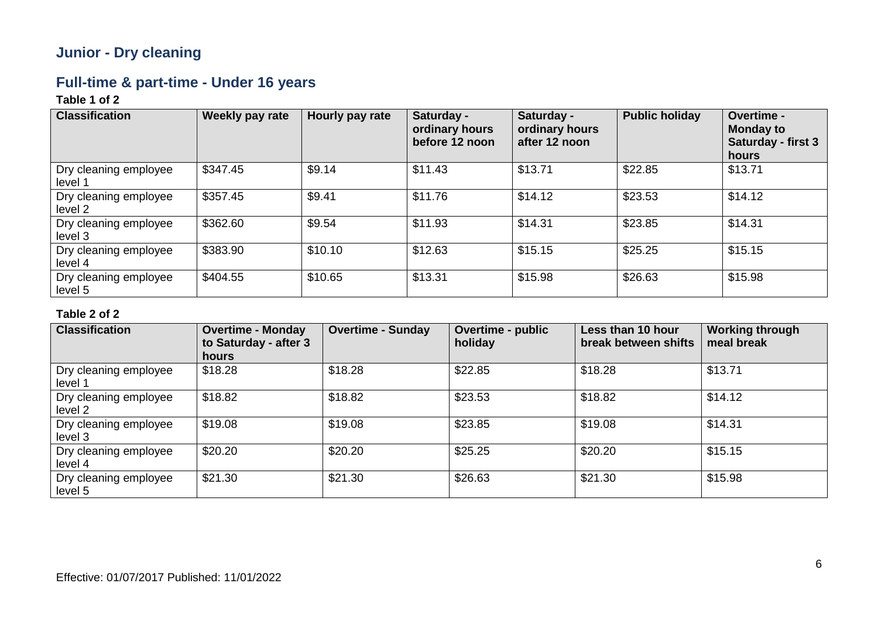# **Junior - Dry cleaning**

# **Full-time & part-time - Under 16 years**

### **Table 1 of 2**

| <b>Classification</b>            | Weekly pay rate | Hourly pay rate | Saturday -<br>ordinary hours<br>before 12 noon | Saturday -<br>ordinary hours<br>after 12 noon | <b>Public holiday</b> | Overtime -<br><b>Monday to</b><br>Saturday - first 3<br>hours |
|----------------------------------|-----------------|-----------------|------------------------------------------------|-----------------------------------------------|-----------------------|---------------------------------------------------------------|
| Dry cleaning employee<br>level 1 | \$347.45        | \$9.14          | \$11.43                                        | \$13.71                                       | \$22.85               | \$13.71                                                       |
| Dry cleaning employee<br>level 2 | \$357.45        | \$9.41          | \$11.76                                        | \$14.12                                       | \$23.53               | \$14.12                                                       |
| Dry cleaning employee<br>level 3 | \$362.60        | \$9.54          | \$11.93                                        | \$14.31                                       | \$23.85               | \$14.31                                                       |
| Dry cleaning employee<br>level 4 | \$383.90        | \$10.10         | \$12.63                                        | \$15.15                                       | \$25.25               | \$15.15                                                       |
| Dry cleaning employee<br>level 5 | \$404.55        | \$10.65         | \$13.31                                        | \$15.98                                       | \$26.63               | \$15.98                                                       |

| <b>Classification</b>            | <b>Overtime - Monday</b><br>to Saturday - after 3<br>hours | <b>Overtime - Sunday</b> | Overtime - public<br>holiday | Less than 10 hour<br>break between shifts | <b>Working through</b><br>meal break |
|----------------------------------|------------------------------------------------------------|--------------------------|------------------------------|-------------------------------------------|--------------------------------------|
| Dry cleaning employee<br>level 1 | \$18.28                                                    | \$18.28                  | \$22.85                      | \$18.28                                   | \$13.71                              |
| Dry cleaning employee<br>level 2 | \$18.82                                                    | \$18.82                  | \$23.53                      | \$18.82                                   | \$14.12                              |
| Dry cleaning employee<br>level 3 | \$19.08                                                    | \$19.08                  | \$23.85                      | \$19.08                                   | \$14.31                              |
| Dry cleaning employee<br>level 4 | \$20.20                                                    | \$20.20                  | \$25.25                      | \$20.20                                   | \$15.15                              |
| Dry cleaning employee<br>level 5 | \$21.30                                                    | \$21.30                  | \$26.63                      | \$21.30                                   | \$15.98                              |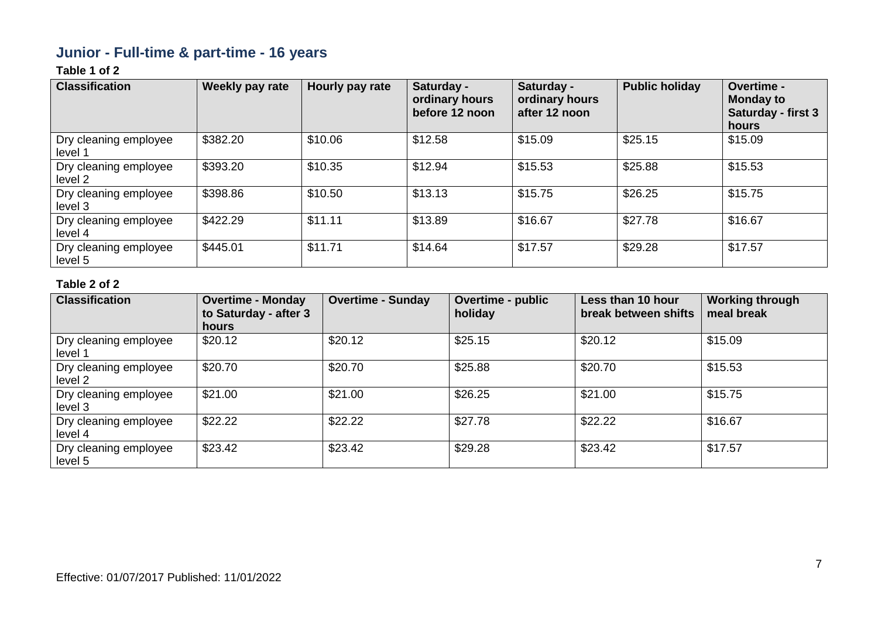# **Junior - Full-time & part-time - 16 years**

### **Table 1 of 2**

| <b>Classification</b>            | <b>Weekly pay rate</b> | Hourly pay rate | Saturday -<br>ordinary hours<br>before 12 noon | Saturday -<br>ordinary hours<br>after 12 noon | <b>Public holiday</b> | <b>Overtime -</b><br><b>Monday to</b><br><b>Saturday - first 3</b><br>hours |
|----------------------------------|------------------------|-----------------|------------------------------------------------|-----------------------------------------------|-----------------------|-----------------------------------------------------------------------------|
| Dry cleaning employee<br>level 1 | \$382.20               | \$10.06         | \$12.58                                        | \$15.09                                       | \$25.15               | \$15.09                                                                     |
| Dry cleaning employee<br>level 2 | \$393.20               | \$10.35         | \$12.94                                        | \$15.53                                       | \$25.88               | \$15.53                                                                     |
| Dry cleaning employee<br>level 3 | \$398.86               | \$10.50         | \$13.13                                        | \$15.75                                       | \$26.25               | \$15.75                                                                     |
| Dry cleaning employee<br>level 4 | \$422.29               | \$11.11         | \$13.89                                        | \$16.67                                       | \$27.78               | \$16.67                                                                     |
| Dry cleaning employee<br>level 5 | \$445.01               | \$11.71         | \$14.64                                        | \$17.57                                       | \$29.28               | \$17.57                                                                     |

| <b>Classification</b>            | <b>Overtime - Monday</b><br>to Saturday - after 3<br><b>hours</b> | <b>Overtime - Sunday</b> | Overtime - public<br>holiday | Less than 10 hour<br>break between shifts | <b>Working through</b><br>meal break |
|----------------------------------|-------------------------------------------------------------------|--------------------------|------------------------------|-------------------------------------------|--------------------------------------|
| Dry cleaning employee<br>level 1 | \$20.12                                                           | \$20.12                  | \$25.15                      | \$20.12                                   | \$15.09                              |
| Dry cleaning employee<br>level 2 | \$20.70                                                           | \$20.70                  | \$25.88                      | \$20.70                                   | \$15.53                              |
| Dry cleaning employee<br>level 3 | \$21.00                                                           | \$21.00                  | \$26.25                      | \$21.00                                   | \$15.75                              |
| Dry cleaning employee<br>level 4 | \$22.22                                                           | \$22.22                  | \$27.78                      | \$22.22                                   | \$16.67                              |
| Dry cleaning employee<br>level 5 | \$23.42                                                           | \$23.42                  | \$29.28                      | \$23.42                                   | \$17.57                              |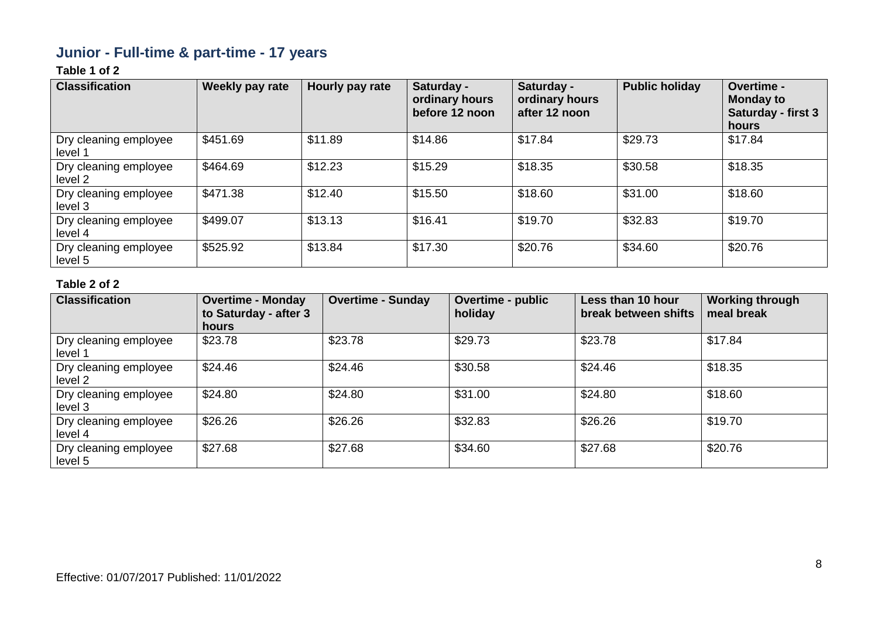# **Junior - Full-time & part-time - 17 years**

### **Table 1 of 2**

| <b>Classification</b>            | Weekly pay rate | Hourly pay rate | Saturday -<br>ordinary hours<br>before 12 noon | Saturday -<br>ordinary hours<br>after 12 noon | <b>Public holiday</b> | <b>Overtime -</b><br><b>Monday to</b><br><b>Saturday - first 3</b><br>hours |
|----------------------------------|-----------------|-----------------|------------------------------------------------|-----------------------------------------------|-----------------------|-----------------------------------------------------------------------------|
| Dry cleaning employee<br>level 1 | \$451.69        | \$11.89         | \$14.86                                        | \$17.84                                       | \$29.73               | \$17.84                                                                     |
| Dry cleaning employee<br>level 2 | \$464.69        | \$12.23         | \$15.29                                        | \$18.35                                       | \$30.58               | \$18.35                                                                     |
| Dry cleaning employee<br>level 3 | \$471.38        | \$12.40         | \$15.50                                        | \$18.60                                       | \$31.00               | \$18.60                                                                     |
| Dry cleaning employee<br>level 4 | \$499.07        | \$13.13         | \$16.41                                        | \$19.70                                       | \$32.83               | \$19.70                                                                     |
| Dry cleaning employee<br>level 5 | \$525.92        | \$13.84         | \$17.30                                        | \$20.76                                       | \$34.60               | \$20.76                                                                     |

| <b>Classification</b>            | <b>Overtime - Monday</b><br>to Saturday - after 3<br>hours | <b>Overtime - Sunday</b> | <b>Overtime - public</b><br>holiday | Less than 10 hour<br>break between shifts | <b>Working through</b><br>meal break |
|----------------------------------|------------------------------------------------------------|--------------------------|-------------------------------------|-------------------------------------------|--------------------------------------|
| Dry cleaning employee<br>level 1 | \$23.78                                                    | \$23.78                  | \$29.73                             | \$23.78                                   | \$17.84                              |
| Dry cleaning employee<br>level 2 | \$24.46                                                    | \$24.46                  | \$30.58                             | \$24.46                                   | \$18.35                              |
| Dry cleaning employee<br>level 3 | \$24.80                                                    | \$24.80                  | \$31.00                             | \$24.80                                   | \$18.60                              |
| Dry cleaning employee<br>level 4 | \$26.26                                                    | \$26.26                  | \$32.83                             | \$26.26                                   | \$19.70                              |
| Dry cleaning employee<br>level 5 | \$27.68                                                    | \$27.68                  | \$34.60                             | \$27.68                                   | \$20.76                              |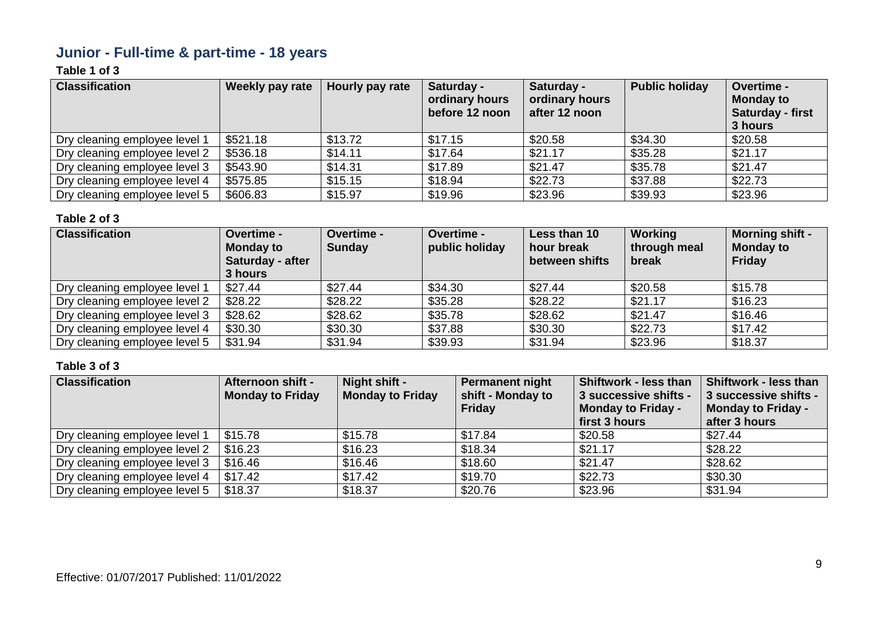# **Junior - Full-time & part-time - 18 years**

### **Table 1 of 3**

| <b>Classification</b>         | Weekly pay rate | Hourly pay rate | Saturday -<br>ordinary hours<br>before 12 noon | Saturday -<br>ordinary hours<br>after 12 noon | <b>Public holiday</b> | Overtime -<br><b>Monday to</b><br>Saturday - first<br>3 hours |
|-------------------------------|-----------------|-----------------|------------------------------------------------|-----------------------------------------------|-----------------------|---------------------------------------------------------------|
| Dry cleaning employee level 1 | \$521.18        | \$13.72         | \$17.15                                        | \$20.58                                       | \$34.30               | \$20.58                                                       |
| Dry cleaning employee level 2 | \$536.18        | \$14.11         | \$17.64                                        | \$21.17                                       | \$35.28               | \$21.17                                                       |
| Dry cleaning employee level 3 | \$543.90        | \$14.31         | \$17.89                                        | \$21.47                                       | \$35.78               | \$21.47                                                       |
| Dry cleaning employee level 4 | \$575.85        | \$15.15         | \$18.94                                        | \$22.73                                       | \$37.88               | \$22.73                                                       |
| Dry cleaning employee level 5 | \$606.83        | \$15.97         | \$19.96                                        | \$23.96                                       | \$39.93               | \$23.96                                                       |

#### **Table 2 of 3**

| <b>Classification</b>         | <b>Overtime -</b><br><b>Monday to</b><br>Saturday - after<br>3 hours | Overtime -<br><b>Sunday</b> | Overtime -<br>public holiday | Less than 10<br>hour break<br>between shifts | Working<br>through meal<br>break | Morning shift -<br><b>Monday to</b><br>Friday |
|-------------------------------|----------------------------------------------------------------------|-----------------------------|------------------------------|----------------------------------------------|----------------------------------|-----------------------------------------------|
| Dry cleaning employee level 1 | \$27.44                                                              | \$27.44                     | \$34.30                      | \$27.44                                      | \$20.58                          | \$15.78                                       |
| Dry cleaning employee level 2 | \$28.22                                                              | \$28.22                     | \$35.28                      | \$28.22                                      | \$21.17                          | \$16.23                                       |
| Dry cleaning employee level 3 | \$28.62                                                              | \$28.62                     | \$35.78                      | \$28.62                                      | \$21.47                          | \$16.46                                       |
| Dry cleaning employee level 4 | \$30.30                                                              | \$30.30                     | \$37.88                      | \$30.30                                      | \$22.73                          | \$17.42                                       |
| Dry cleaning employee level 5 | \$31.94                                                              | \$31.94                     | \$39.93                      | \$31.94                                      | \$23.96                          | \$18.37                                       |

| <b>Classification</b>         | <b>Afternoon shift -</b><br><b>Monday to Friday</b> | Night shift -<br><b>Monday to Friday</b> | Permanent night<br>shift - Monday to<br>Friday | Shiftwork - less than<br>3 successive shifts -<br><b>Monday to Friday -</b><br>first 3 hours | <b>Shiftwork - less than</b><br>3 successive shifts -<br>Monday to Friday -<br>after 3 hours |
|-------------------------------|-----------------------------------------------------|------------------------------------------|------------------------------------------------|----------------------------------------------------------------------------------------------|----------------------------------------------------------------------------------------------|
| Dry cleaning employee level 1 | \$15.78                                             | \$15.78                                  | \$17.84                                        | \$20.58                                                                                      | \$27.44                                                                                      |
| Dry cleaning employee level 2 | \$16.23                                             | \$16.23                                  | \$18.34                                        | \$21.17                                                                                      | \$28.22                                                                                      |
| Dry cleaning employee level 3 | \$16.46                                             | \$16.46                                  | \$18.60                                        | \$21.47                                                                                      | \$28.62                                                                                      |
| Dry cleaning employee level 4 | \$17.42                                             | \$17.42                                  | \$19.70                                        | \$22.73                                                                                      | \$30.30                                                                                      |
| Dry cleaning employee level 5 | \$18.37                                             | \$18.37                                  | \$20.76                                        | \$23.96                                                                                      | \$31.94                                                                                      |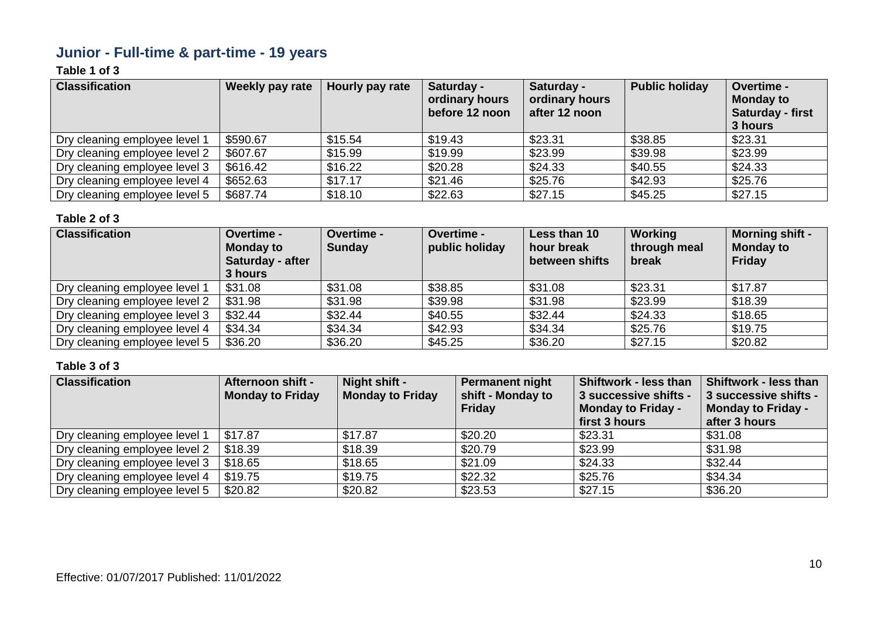# **Junior - Full-time & part-time - 19 years**

### **Table 1 of 3**

| <b>Classification</b>         | Weekly pay rate | Hourly pay rate | Saturday -<br>ordinary hours<br>before 12 noon | Saturday -<br>ordinary hours<br>after 12 noon | <b>Public holiday</b> | Overtime -<br><b>Monday to</b><br>Saturday - first<br>3 hours |
|-------------------------------|-----------------|-----------------|------------------------------------------------|-----------------------------------------------|-----------------------|---------------------------------------------------------------|
| Dry cleaning employee level 1 | \$590.67        | \$15.54         | \$19.43                                        | \$23.31                                       | \$38.85               | \$23.31                                                       |
| Dry cleaning employee level 2 | \$607.67        | \$15.99         | \$19.99                                        | \$23.99                                       | \$39.98               | \$23.99                                                       |
| Dry cleaning employee level 3 | \$616.42        | \$16.22         | \$20.28                                        | \$24.33                                       | \$40.55               | \$24.33                                                       |
| Dry cleaning employee level 4 | \$652.63        | \$17.17         | \$21.46                                        | \$25.76                                       | \$42.93               | \$25.76                                                       |
| Dry cleaning employee level 5 | \$687.74        | \$18.10         | \$22.63                                        | \$27.15                                       | \$45.25               | \$27.15                                                       |

#### **Table 2 of 3**

| <b>Classification</b>         | <b>Overtime -</b><br><b>Monday to</b><br>Saturday - after<br>3 hours | Overtime -<br><b>Sunday</b> | Overtime -<br>public holiday | Less than 10<br>hour break<br>between shifts | Working<br>through meal<br>break | Morning shift -<br><b>Monday to</b><br>Friday |
|-------------------------------|----------------------------------------------------------------------|-----------------------------|------------------------------|----------------------------------------------|----------------------------------|-----------------------------------------------|
| Dry cleaning employee level 1 | \$31.08                                                              | \$31.08                     | \$38.85                      | \$31.08                                      | \$23.31                          | \$17.87                                       |
| Dry cleaning employee level 2 | \$31.98                                                              | \$31.98                     | \$39.98                      | \$31.98                                      | \$23.99                          | \$18.39                                       |
| Dry cleaning employee level 3 | \$32.44                                                              | \$32.44                     | \$40.55                      | \$32.44                                      | \$24.33                          | \$18.65                                       |
| Dry cleaning employee level 4 | \$34.34                                                              | \$34.34                     | \$42.93                      | \$34.34                                      | \$25.76                          | \$19.75                                       |
| Dry cleaning employee level 5 | \$36.20                                                              | \$36.20                     | \$45.25                      | \$36.20                                      | \$27.15                          | \$20.82                                       |

| <b>Classification</b>         | Afternoon shift -<br><b>Monday to Friday</b> | Night shift -<br><b>Monday to Friday</b> | <b>Permanent night</b><br>shift - Monday to<br>Friday | Shiftwork - less than<br>3 successive shifts -<br><b>Monday to Friday -</b><br>first 3 hours | <b>Shiftwork - less than</b><br>3 successive shifts -<br><b>Monday to Friday -</b><br>after 3 hours |
|-------------------------------|----------------------------------------------|------------------------------------------|-------------------------------------------------------|----------------------------------------------------------------------------------------------|-----------------------------------------------------------------------------------------------------|
| Dry cleaning employee level 1 | \$17.87                                      | \$17.87                                  | \$20.20                                               | \$23.31                                                                                      | \$31.08                                                                                             |
| Dry cleaning employee level 2 | \$18.39                                      | \$18.39                                  | \$20.79                                               | \$23.99                                                                                      | \$31.98                                                                                             |
| Dry cleaning employee level 3 | \$18.65                                      | \$18.65                                  | \$21.09                                               | \$24.33                                                                                      | \$32.44                                                                                             |
| Dry cleaning employee level 4 | \$19.75                                      | \$19.75                                  | \$22.32                                               | \$25.76                                                                                      | \$34.34                                                                                             |
| Dry cleaning employee level 5 | \$20.82                                      | \$20.82                                  | \$23.53                                               | \$27.15                                                                                      | \$36.20                                                                                             |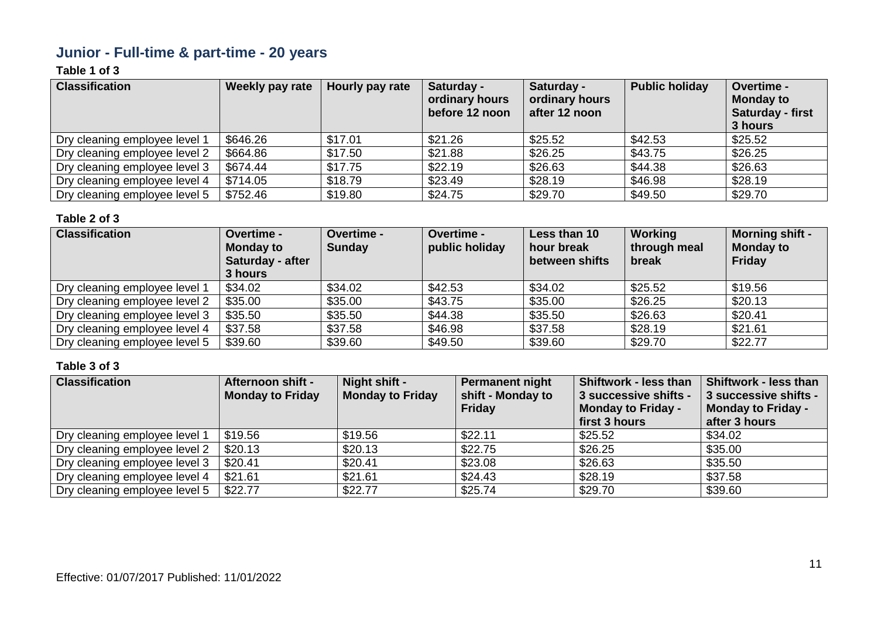# **Junior - Full-time & part-time - 20 years**

### **Table 1 of 3**

| <b>Classification</b>         | Weekly pay rate | Hourly pay rate | Saturday -<br>ordinary hours<br>before 12 noon | Saturday -<br>ordinary hours<br>after 12 noon | <b>Public holiday</b> | Overtime -<br><b>Monday to</b><br>Saturday - first<br>3 hours |
|-------------------------------|-----------------|-----------------|------------------------------------------------|-----------------------------------------------|-----------------------|---------------------------------------------------------------|
| Dry cleaning employee level 1 | \$646.26        | \$17.01         | \$21.26                                        | \$25.52                                       | \$42.53               | \$25.52                                                       |
| Dry cleaning employee level 2 | \$664.86        | \$17.50         | \$21.88                                        | \$26.25                                       | \$43.75               | \$26.25                                                       |
| Dry cleaning employee level 3 | \$674.44        | \$17.75         | \$22.19                                        | \$26.63                                       | \$44.38               | \$26.63                                                       |
| Dry cleaning employee level 4 | \$714.05        | \$18.79         | \$23.49                                        | \$28.19                                       | \$46.98               | \$28.19                                                       |
| Dry cleaning employee level 5 | \$752.46        | \$19.80         | \$24.75                                        | \$29.70                                       | \$49.50               | \$29.70                                                       |

#### **Table 2 of 3**

| <b>Classification</b>         | <b>Overtime -</b><br><b>Monday to</b><br>Saturday - after<br>3 hours | Overtime -<br><b>Sunday</b> | Overtime -<br>public holiday | Less than 10<br>hour break<br>between shifts | Working<br>through meal<br>break | Morning shift -<br><b>Monday to</b><br>Friday |
|-------------------------------|----------------------------------------------------------------------|-----------------------------|------------------------------|----------------------------------------------|----------------------------------|-----------------------------------------------|
| Dry cleaning employee level 1 | \$34.02                                                              | \$34.02                     | \$42.53                      | \$34.02                                      | \$25.52                          | \$19.56                                       |
| Dry cleaning employee level 2 | \$35.00                                                              | \$35.00                     | \$43.75                      | \$35.00                                      | \$26.25                          | \$20.13                                       |
| Dry cleaning employee level 3 | \$35.50                                                              | \$35.50                     | \$44.38                      | \$35.50                                      | \$26.63                          | \$20.41                                       |
| Dry cleaning employee level 4 | \$37.58                                                              | \$37.58                     | \$46.98                      | \$37.58                                      | \$28.19                          | \$21.61                                       |
| Dry cleaning employee level 5 | \$39.60                                                              | \$39.60                     | \$49.50                      | \$39.60                                      | \$29.70                          | \$22.77                                       |

| <b>Classification</b>         | Afternoon shift -<br><b>Monday to Friday</b> | Night shift -<br><b>Monday to Friday</b> | Permanent night<br>shift - Monday to<br>Friday | Shiftwork - less than<br>3 successive shifts -<br><b>Monday to Friday -</b><br>first 3 hours | <b>Shiftwork - less than</b><br>3 successive shifts -<br>Monday to Friday -<br>after 3 hours |
|-------------------------------|----------------------------------------------|------------------------------------------|------------------------------------------------|----------------------------------------------------------------------------------------------|----------------------------------------------------------------------------------------------|
| Dry cleaning employee level 1 | \$19.56                                      | \$19.56                                  | \$22.11                                        | \$25.52                                                                                      | \$34.02                                                                                      |
| Dry cleaning employee level 2 | \$20.13                                      | \$20.13                                  | \$22.75                                        | \$26.25                                                                                      | \$35.00                                                                                      |
| Dry cleaning employee level 3 | \$20.41                                      | \$20.41                                  | \$23.08                                        | \$26.63                                                                                      | \$35.50                                                                                      |
| Dry cleaning employee level 4 | \$21.61                                      | \$21.61                                  | \$24.43                                        | \$28.19                                                                                      | \$37.58                                                                                      |
| Dry cleaning employee level 5 | \$22.77                                      | \$22.77                                  | \$25.74                                        | \$29.70                                                                                      | \$39.60                                                                                      |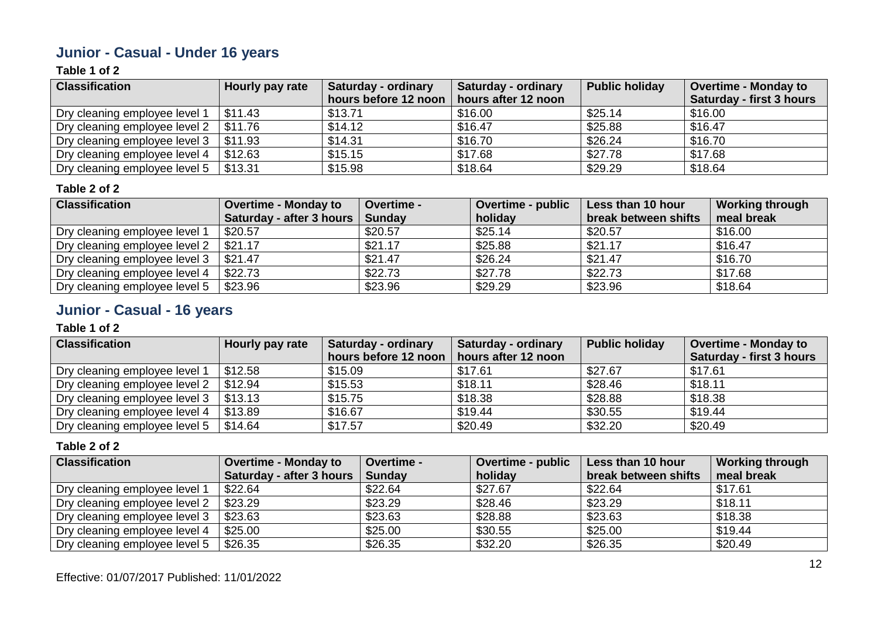# **Junior - Casual - Under 16 years**

### **Table 1 of 2**

| <b>Classification</b>         | Hourly pay rate | Saturday - ordinary  | <b>Saturday - ordinary</b> | <b>Public holiday</b> | <b>Overtime - Monday to</b> |
|-------------------------------|-----------------|----------------------|----------------------------|-----------------------|-----------------------------|
|                               |                 | hours before 12 noon | hours after 12 noon        |                       | Saturday - first 3 hours    |
| Dry cleaning employee level 1 | \$11.43         | \$13.71              | \$16.00                    | \$25.14               | \$16.00                     |
| Dry cleaning employee level 2 | \$11.76         | \$14.12              | \$16.47                    | \$25.88               | \$16.47                     |
| Dry cleaning employee level 3 | \$11.93         | \$14.31              | \$16.70                    | \$26.24               | \$16.70                     |
| Dry cleaning employee level 4 | \$12.63         | \$15.15              | \$17.68                    | \$27.78               | \$17.68                     |
| Dry cleaning employee level 5 | \$13.31         | \$15.98              | \$18.64                    | \$29.29               | \$18.64                     |

#### **Table 2 of 2**

| <b>Classification</b>         | <b>Overtime - Monday to</b> | <b>Overtime -</b> | Overtime - public | Less than 10 hour    | <b>Working through</b> |
|-------------------------------|-----------------------------|-------------------|-------------------|----------------------|------------------------|
|                               | Saturday - after 3 hours    | Sunday            | holiday           | break between shifts | meal break             |
| Dry cleaning employee level 1 | \$20.57                     | \$20.57           | \$25.14           | \$20.57              | \$16.00                |
| Dry cleaning employee level 2 | \$21.17                     | \$21.17           | \$25.88           | \$21.17              | \$16.47                |
| Dry cleaning employee level 3 | \$21.47                     | \$21.47           | \$26.24           | \$21.47              | \$16.70                |
| Dry cleaning employee level 4 | \$22.73                     | \$22.73           | \$27.78           | \$22.73              | \$17.68                |
| Dry cleaning employee level 5 | \$23.96                     | \$23.96           | \$29.29           | \$23.96              | \$18.64                |

# **Junior - Casual - 16 years**

#### **Table 1 of 2**

| <b>Classification</b>         | Hourly pay rate | <b>Saturday - ordinary</b><br>hours before 12 noon | <b>Saturday - ordinary</b><br>hours after 12 noon | <b>Public holiday</b> | <b>Overtime - Monday to</b><br><b>Saturday - first 3 hours</b> |
|-------------------------------|-----------------|----------------------------------------------------|---------------------------------------------------|-----------------------|----------------------------------------------------------------|
| Dry cleaning employee level 1 | \$12.58         | \$15.09                                            | \$17.61                                           | \$27.67               | \$17.61                                                        |
| Dry cleaning employee level 2 | \$12.94         | \$15.53                                            | \$18.11                                           | \$28.46               | \$18.11                                                        |
| Dry cleaning employee level 3 | \$13.13         | \$15.75                                            | \$18.38                                           | \$28.88               | \$18.38                                                        |
| Dry cleaning employee level 4 | \$13.89         | \$16.67                                            | \$19.44                                           | \$30.55               | \$19.44                                                        |
| Dry cleaning employee level 5 | \$14.64         | \$17.57                                            | \$20.49                                           | \$32.20               | \$20.49                                                        |

| <b>Classification</b>         | <b>Overtime - Monday to</b> | Overtime -    | <b>Overtime - public</b> | Less than 10 hour    | <b>Working through</b> |
|-------------------------------|-----------------------------|---------------|--------------------------|----------------------|------------------------|
|                               | Saturday - after 3 hours    | <b>Sunday</b> | holiday                  | break between shifts | meal break             |
| Dry cleaning employee level 1 | \$22.64                     | \$22.64       | \$27.67                  | \$22.64              | \$17.61                |
| Dry cleaning employee level 2 | \$23.29                     | \$23.29       | \$28.46                  | \$23.29              | \$18.11                |
| Dry cleaning employee level 3 | \$23.63                     | \$23.63       | \$28.88                  | \$23.63              | \$18.38                |
| Dry cleaning employee level 4 | \$25.00                     | \$25.00       | \$30.55                  | \$25.00              | \$19.44                |
| Dry cleaning employee level 5 | \$26.35                     | \$26.35       | \$32.20                  | \$26.35              | \$20.49                |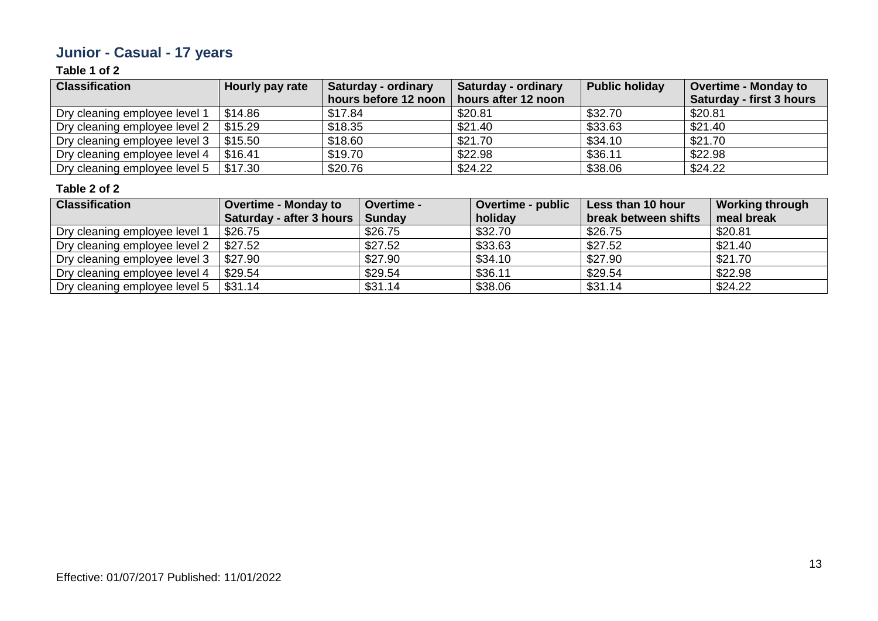# **Junior - Casual - 17 years**

### **Table 1 of 2**

| <b>Classification</b>         | Hourly pay rate | Saturday - ordinary  | <b>Saturday - ordinary</b> | <b>Public holiday</b> | <b>Overtime - Monday to</b> |
|-------------------------------|-----------------|----------------------|----------------------------|-----------------------|-----------------------------|
|                               |                 | hours before 12 noon | hours after 12 noon        |                       | Saturday - first 3 hours    |
| Dry cleaning employee level 1 | \$14.86         | \$17.84              | \$20.81                    | \$32.70               | \$20.81                     |
| Dry cleaning employee level 2 | \$15.29         | \$18.35              | \$21.40                    | \$33.63               | \$21.40                     |
| Dry cleaning employee level 3 | \$15.50         | \$18.60              | \$21.70                    | \$34.10               | \$21.70                     |
| Dry cleaning employee level 4 | \$16.41         | \$19.70              | \$22.98                    | \$36.11               | \$22.98                     |
| Dry cleaning employee level 5 | \$17.30         | \$20.76              | \$24.22                    | \$38.06               | \$24.22                     |

| <b>Classification</b>         | <b>Overtime - Monday to</b>       | <b>Overtime -</b> | <b>Overtime - public</b> | Less than 10 hour    | <b>Working through</b> |
|-------------------------------|-----------------------------------|-------------------|--------------------------|----------------------|------------------------|
|                               | Saturday - after 3 hours   Sunday |                   | holiday                  | break between shifts | meal break             |
| Dry cleaning employee level 1 | \$26.75                           | \$26.75           | \$32.70                  | \$26.75              | \$20.81                |
| Dry cleaning employee level 2 | \$27.52                           | \$27.52           | \$33.63                  | \$27.52              | \$21.40                |
| Dry cleaning employee level 3 | \$27.90                           | \$27.90           | \$34.10                  | \$27.90              | \$21.70                |
| Dry cleaning employee level 4 | \$29.54                           | \$29.54           | \$36.11                  | \$29.54              | \$22.98                |
| Dry cleaning employee level 5 | \$31.14                           | \$31.14           | \$38.06                  | \$31.14              | \$24.22                |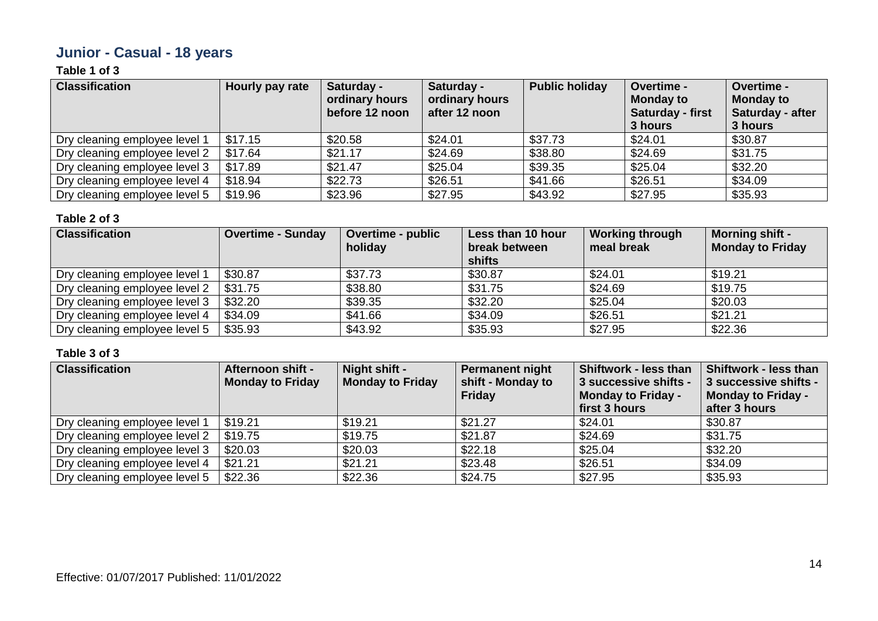# **Junior - Casual - 18 years**

### **Table 1 of 3**

| <b>Classification</b>         | Hourly pay rate | Saturday -<br>ordinary hours<br>before 12 noon | Saturday -<br>ordinary hours<br>after 12 noon | <b>Public holiday</b> | Overtime -<br><b>Monday to</b><br><b>Saturday - first</b><br>3 hours | Overtime -<br><b>Monday to</b><br>Saturday - after<br>3 hours |
|-------------------------------|-----------------|------------------------------------------------|-----------------------------------------------|-----------------------|----------------------------------------------------------------------|---------------------------------------------------------------|
| Dry cleaning employee level 1 | \$17.15         | \$20.58                                        | \$24.01                                       | \$37.73               | \$24.01                                                              | \$30.87                                                       |
| Dry cleaning employee level 2 | \$17.64         | \$21.17                                        | \$24.69                                       | \$38.80               | \$24.69                                                              | \$31.75                                                       |
| Dry cleaning employee level 3 | \$17.89         | \$21.47                                        | \$25.04                                       | \$39.35               | \$25.04                                                              | \$32.20                                                       |
| Dry cleaning employee level 4 | \$18.94         | \$22.73                                        | \$26.51                                       | \$41.66               | \$26.51                                                              | \$34.09                                                       |
| Dry cleaning employee level 5 | \$19.96         | \$23.96                                        | \$27.95                                       | \$43.92               | \$27.95                                                              | \$35.93                                                       |

#### **Table 2 of 3**

| <b>Classification</b>         | <b>Overtime - Sunday</b> | Overtime - public<br>holiday | Less than 10 hour<br>break between<br>shifts | <b>Working through</b><br>meal break | <b>Morning shift -</b><br><b>Monday to Friday</b> |
|-------------------------------|--------------------------|------------------------------|----------------------------------------------|--------------------------------------|---------------------------------------------------|
| Dry cleaning employee level 1 | \$30.87                  | \$37.73                      | \$30.87                                      | \$24.01                              | \$19.21                                           |
| Dry cleaning employee level 2 | \$31.75                  | \$38.80                      | \$31.75                                      | \$24.69                              | \$19.75                                           |
| Dry cleaning employee level 3 | \$32.20                  | \$39.35                      | \$32.20                                      | \$25.04                              | \$20.03                                           |
| Dry cleaning employee level 4 | \$34.09                  | \$41.66                      | \$34.09                                      | \$26.51                              | \$21.21                                           |
| Dry cleaning employee level 5 | \$35.93                  | \$43.92                      | \$35.93                                      | \$27.95                              | \$22.36                                           |

| <b>Classification</b>         | Afternoon shift -<br><b>Monday to Friday</b> | Night shift -<br><b>Monday to Friday</b> | <b>Permanent night</b><br>shift - Monday to<br>Friday | Shiftwork - less than<br>3 successive shifts -<br><b>Monday to Friday -</b><br>first 3 hours | <b>Shiftwork - less than</b><br>3 successive shifts -<br>Monday to Friday -<br>after 3 hours |
|-------------------------------|----------------------------------------------|------------------------------------------|-------------------------------------------------------|----------------------------------------------------------------------------------------------|----------------------------------------------------------------------------------------------|
| Dry cleaning employee level 1 | \$19.21                                      | \$19.21                                  | \$21.27                                               | \$24.01                                                                                      | \$30.87                                                                                      |
| Dry cleaning employee level 2 | \$19.75                                      | \$19.75                                  | \$21.87                                               | \$24.69                                                                                      | \$31.75                                                                                      |
| Dry cleaning employee level 3 | \$20.03                                      | \$20.03                                  | \$22.18                                               | \$25.04                                                                                      | \$32.20                                                                                      |
| Dry cleaning employee level 4 | \$21.21                                      | \$21.21                                  | \$23.48                                               | \$26.51                                                                                      | \$34.09                                                                                      |
| Dry cleaning employee level 5 | \$22.36                                      | \$22.36                                  | \$24.75                                               | \$27.95                                                                                      | \$35.93                                                                                      |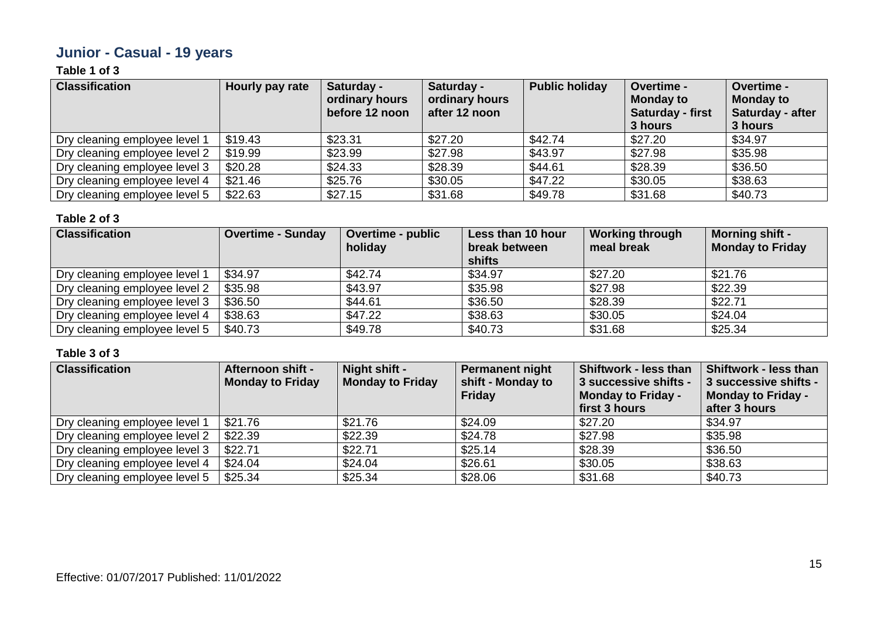# **Junior - Casual - 19 years**

### **Table 1 of 3**

| <b>Classification</b>         | Hourly pay rate | Saturday -<br>ordinary hours<br>before 12 noon | Saturday -<br>ordinary hours<br>after 12 noon | <b>Public holiday</b> | Overtime -<br><b>Monday to</b><br><b>Saturday - first</b><br>3 hours | Overtime -<br><b>Monday to</b><br>Saturday - after<br>3 hours |
|-------------------------------|-----------------|------------------------------------------------|-----------------------------------------------|-----------------------|----------------------------------------------------------------------|---------------------------------------------------------------|
| Dry cleaning employee level 1 | \$19.43         | \$23.31                                        | \$27.20                                       | \$42.74               | \$27.20                                                              | \$34.97                                                       |
| Dry cleaning employee level 2 | \$19.99         | \$23.99                                        | \$27.98                                       | \$43.97               | \$27.98                                                              | \$35.98                                                       |
| Dry cleaning employee level 3 | \$20.28         | \$24.33                                        | \$28.39                                       | \$44.61               | \$28.39                                                              | \$36.50                                                       |
| Dry cleaning employee level 4 | \$21.46         | \$25.76                                        | \$30.05                                       | \$47.22               | \$30.05                                                              | \$38.63                                                       |
| Dry cleaning employee level 5 | \$22.63         | \$27.15                                        | \$31.68                                       | \$49.78               | \$31.68                                                              | \$40.73                                                       |

#### **Table 2 of 3**

| <b>Classification</b>         | <b>Overtime - Sunday</b> | <b>Overtime - public</b><br>holiday | Less than 10 hour<br>break between<br>shifts | <b>Working through</b><br>meal break | <b>Morning shift -</b><br><b>Monday to Friday</b> |
|-------------------------------|--------------------------|-------------------------------------|----------------------------------------------|--------------------------------------|---------------------------------------------------|
| Dry cleaning employee level 1 | \$34.97                  | \$42.74                             | \$34.97                                      | \$27.20                              | \$21.76                                           |
| Dry cleaning employee level 2 | \$35.98                  | \$43.97                             | \$35.98                                      | \$27.98                              | \$22.39                                           |
| Dry cleaning employee level 3 | \$36.50                  | \$44.61                             | \$36.50                                      | \$28.39                              | \$22.71                                           |
| Dry cleaning employee level 4 | \$38.63                  | \$47.22                             | \$38.63                                      | \$30.05                              | \$24.04                                           |
| Dry cleaning employee level 5 | \$40.73                  | \$49.78                             | \$40.73                                      | \$31.68                              | \$25.34                                           |

| <b>Classification</b>         | Afternoon shift -<br><b>Monday to Friday</b> | Night shift -<br><b>Monday to Friday</b> | <b>Permanent night</b><br>shift - Monday to<br>Friday | Shiftwork - less than<br>3 successive shifts -<br><b>Monday to Friday -</b><br>first 3 hours | <b>Shiftwork - less than</b><br>3 successive shifts -<br>Monday to Friday -<br>after 3 hours |
|-------------------------------|----------------------------------------------|------------------------------------------|-------------------------------------------------------|----------------------------------------------------------------------------------------------|----------------------------------------------------------------------------------------------|
| Dry cleaning employee level 1 | \$21.76                                      | \$21.76                                  | \$24.09                                               | \$27.20                                                                                      | \$34.97                                                                                      |
| Dry cleaning employee level 2 | \$22.39                                      | \$22.39                                  | \$24.78                                               | \$27.98                                                                                      | \$35.98                                                                                      |
| Dry cleaning employee level 3 | \$22.71                                      | \$22.71                                  | \$25.14                                               | \$28.39                                                                                      | \$36.50                                                                                      |
| Dry cleaning employee level 4 | \$24.04                                      | \$24.04                                  | \$26.61                                               | \$30.05                                                                                      | \$38.63                                                                                      |
| Dry cleaning employee level 5 | \$25.34                                      | \$25.34                                  | \$28.06                                               | \$31.68                                                                                      | \$40.73                                                                                      |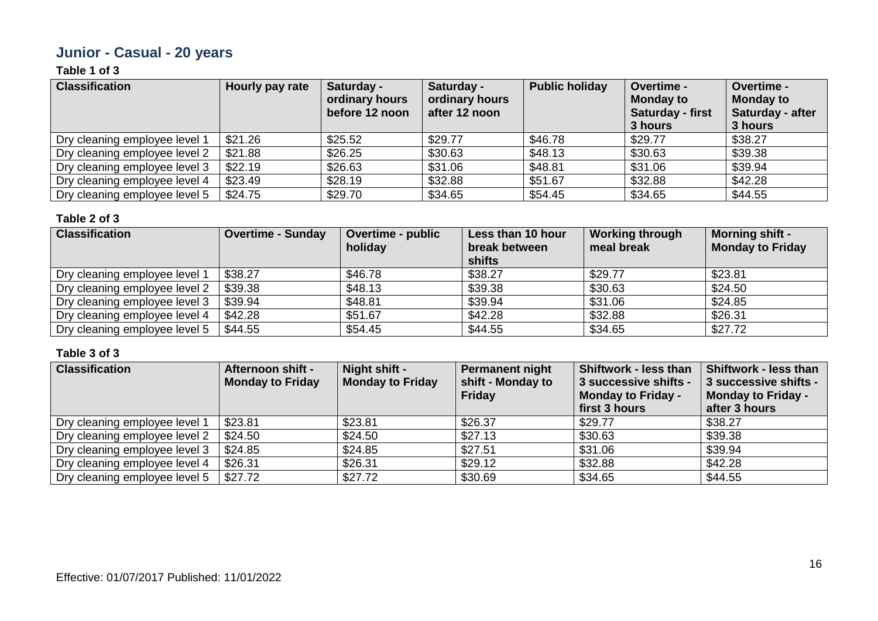# **Junior - Casual - 20 years**

### **Table 1 of 3**

| <b>Classification</b>         | Hourly pay rate | Saturday -<br>ordinary hours<br>before 12 noon | Saturday -<br>ordinary hours<br>after 12 noon | <b>Public holiday</b> | Overtime -<br><b>Monday to</b><br>Saturday - first<br>3 hours | Overtime -<br><b>Monday to</b><br>Saturday - after<br>3 hours |
|-------------------------------|-----------------|------------------------------------------------|-----------------------------------------------|-----------------------|---------------------------------------------------------------|---------------------------------------------------------------|
| Dry cleaning employee level 1 | \$21.26         | \$25.52                                        | \$29.77                                       | \$46.78               | \$29.77                                                       | \$38.27                                                       |
| Dry cleaning employee level 2 | \$21.88         | \$26.25                                        | \$30.63                                       | \$48.13               | \$30.63                                                       | \$39.38                                                       |
| Dry cleaning employee level 3 | \$22.19         | \$26.63                                        | \$31.06                                       | \$48.81               | \$31.06                                                       | \$39.94                                                       |
| Dry cleaning employee level 4 | \$23.49         | \$28.19                                        | \$32.88                                       | \$51.67               | \$32.88                                                       | \$42.28                                                       |
| Dry cleaning employee level 5 | \$24.75         | \$29.70                                        | \$34.65                                       | \$54.45               | \$34.65                                                       | \$44.55                                                       |

#### **Table 2 of 3**

| <b>Classification</b>         | <b>Overtime - Sunday</b> | Overtime - public<br>holiday | Less than 10 hour<br>break between<br><b>shifts</b> | <b>Working through</b><br>meal break | <b>Morning shift -</b><br><b>Monday to Friday</b> |
|-------------------------------|--------------------------|------------------------------|-----------------------------------------------------|--------------------------------------|---------------------------------------------------|
| Dry cleaning employee level 1 | \$38.27                  | \$46.78                      | \$38.27                                             | \$29.77                              | \$23.81                                           |
| Dry cleaning employee level 2 | \$39.38                  | \$48.13                      | \$39.38                                             | \$30.63                              | \$24.50                                           |
| Dry cleaning employee level 3 | \$39.94                  | \$48.81                      | \$39.94                                             | \$31.06                              | \$24.85                                           |
| Dry cleaning employee level 4 | \$42.28                  | \$51.67                      | \$42.28                                             | \$32.88                              | \$26.31                                           |
| Dry cleaning employee level 5 | \$44.55                  | \$54.45                      | \$44.55                                             | \$34.65                              | \$27.72                                           |

| <b>Classification</b>         | <b>Afternoon shift -</b><br><b>Monday to Friday</b> | Night shift -<br><b>Monday to Friday</b> | <b>Permanent night</b><br>shift - Monday to<br>Friday | <b>Shiftwork - less than</b><br>3 successive shifts -<br><b>Monday to Friday -</b><br>first 3 hours | Shiftwork - less than<br>3 successive shifts -<br><b>Monday to Friday -</b><br>after 3 hours |
|-------------------------------|-----------------------------------------------------|------------------------------------------|-------------------------------------------------------|-----------------------------------------------------------------------------------------------------|----------------------------------------------------------------------------------------------|
| Dry cleaning employee level 1 | \$23.81                                             | \$23.81                                  | \$26.37                                               | \$29.77                                                                                             | \$38.27                                                                                      |
| Dry cleaning employee level 2 | \$24.50                                             | \$24.50                                  | \$27.13                                               | \$30.63                                                                                             | \$39.38                                                                                      |
| Dry cleaning employee level 3 | \$24.85                                             | \$24.85                                  | \$27.51                                               | \$31.06                                                                                             | \$39.94                                                                                      |
| Dry cleaning employee level 4 | \$26.31                                             | \$26.31                                  | \$29.12                                               | \$32.88                                                                                             | \$42.28                                                                                      |
| Dry cleaning employee level 5 | \$27.72                                             | \$27.72                                  | \$30.69                                               | \$34.65                                                                                             | \$44.55                                                                                      |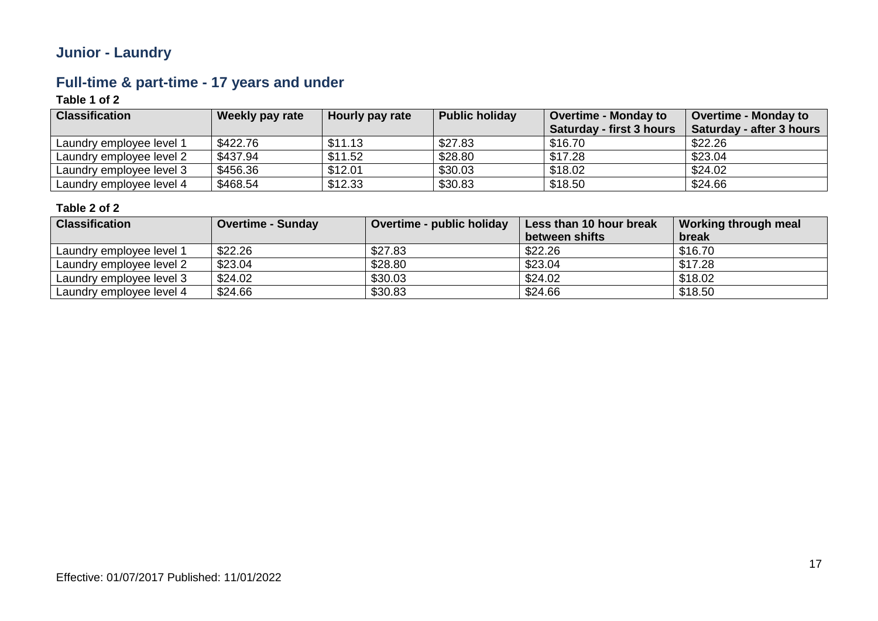# **Junior - Laundry**

# **Full-time & part-time - 17 years and under**

### **Table 1 of 2**

| <b>Classification</b>    | Weekly pay rate | Hourly pay rate | <b>Public holiday</b> | <b>Overtime - Monday to</b><br>Saturday - first 3 hours | <b>Overtime - Monday to</b><br>Saturday - after 3 hours |
|--------------------------|-----------------|-----------------|-----------------------|---------------------------------------------------------|---------------------------------------------------------|
| Laundry employee level 1 | \$422.76        | \$11.13         | \$27.83               | \$16.70                                                 | \$22.26                                                 |
| Laundry employee level 2 | \$437.94        | \$11.52         | \$28.80               | \$17.28                                                 | \$23.04                                                 |
| Laundry employee level 3 | \$456.36        | \$12.01         | \$30.03               | \$18.02                                                 | \$24.02                                                 |
| Laundry employee level 4 | \$468.54        | \$12.33         | \$30.83               | \$18.50                                                 | \$24.66                                                 |

| <b>Classification</b>    | <b>Overtime - Sunday</b> | Overtime - public holiday | Less than 10 hour break | Working through meal |
|--------------------------|--------------------------|---------------------------|-------------------------|----------------------|
|                          |                          |                           | between shifts          | break                |
| Laundry employee level 1 | \$22.26                  | \$27.83                   | \$22.26                 | \$16.70              |
| Laundry employee level 2 | \$23.04                  | \$28.80                   | \$23.04                 | \$17.28              |
| Laundry employee level 3 | \$24.02                  | \$30.03                   | \$24.02                 | \$18.02              |
| Laundry employee level 4 | \$24.66                  | \$30.83                   | \$24.66                 | \$18.50              |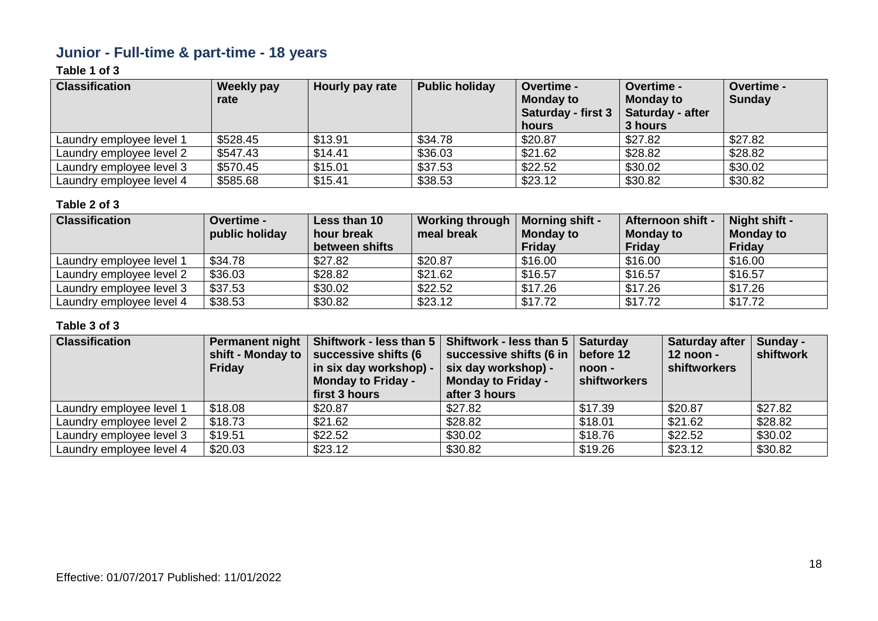# **Junior - Full-time & part-time - 18 years**

### **Table 1 of 3**

| <b>Classification</b>    | <b>Weekly pay</b><br>rate | Hourly pay rate | <b>Public holiday</b> | <b>Overtime -</b><br><b>Monday to</b><br><b>Saturday - first 3</b><br>hours | Overtime -<br><b>Monday to</b><br>Saturday - after<br>3 hours | Overtime -<br><b>Sunday</b> |
|--------------------------|---------------------------|-----------------|-----------------------|-----------------------------------------------------------------------------|---------------------------------------------------------------|-----------------------------|
| Laundry employee level 1 | \$528.45                  | \$13.91         | \$34.78               | \$20.87                                                                     | \$27.82                                                       | \$27.82                     |
| Laundry employee level 2 | \$547.43                  | \$14.41         | \$36.03               | \$21.62                                                                     | \$28.82                                                       | \$28.82                     |
| Laundry employee level 3 | \$570.45                  | \$15.01         | \$37.53               | \$22.52                                                                     | \$30.02                                                       | \$30.02                     |
| Laundry employee level 4 | \$585.68                  | \$15.41         | \$38.53               | \$23.12                                                                     | \$30.82                                                       | \$30.82                     |

#### **Table 2 of 3**

| <b>Classification</b>    | Overtime -     | Less than 10   | <b>Working through</b> | <b>Morning shift -</b> | Afternoon shift - | Night shift -    |
|--------------------------|----------------|----------------|------------------------|------------------------|-------------------|------------------|
|                          | public holiday | hour break     | meal break             | <b>Monday to</b>       | <b>Monday to</b>  | <b>Monday to</b> |
|                          |                | between shifts |                        | <b>Friday</b>          | Friday            | Friday           |
| Laundry employee level 1 | \$34.78        | \$27.82        | \$20.87                | \$16.00                | \$16.00           | \$16.00          |
| Laundry employee level 2 | \$36.03        | \$28.82        | \$21.62                | \$16.57                | \$16.57           | \$16.57          |
| Laundry employee level 3 | \$37.53        | \$30.02        | \$22.52                | \$17.26                | \$17.26           | \$17.26          |
| Laundry employee level 4 | \$38.53        | \$30.82        | \$23.12                | \$17.72                | \$17.72           | \$17.72          |

| <b>Classification</b>    | <b>Permanent night</b><br>shift - Monday to<br><b>Friday</b> | successive shifts (6<br>in six day workshop) -<br><b>Monday to Friday -</b><br>first 3 hours | Shiftwork - less than 5   Shiftwork - less than 5  <br>successive shifts (6 in<br>six day workshop) -<br><b>Monday to Friday -</b><br>after 3 hours | <b>Saturday</b><br>before 12<br>noon -<br>shiftworkers | Saturday after<br>12 noon -<br>shiftworkers | Sunday -<br>shiftwork |
|--------------------------|--------------------------------------------------------------|----------------------------------------------------------------------------------------------|-----------------------------------------------------------------------------------------------------------------------------------------------------|--------------------------------------------------------|---------------------------------------------|-----------------------|
| Laundry employee level 1 | \$18.08                                                      | \$20.87                                                                                      | \$27.82                                                                                                                                             | \$17.39                                                | \$20.87                                     | \$27.82               |
| Laundry employee level 2 | \$18.73                                                      | \$21.62                                                                                      | \$28.82                                                                                                                                             | \$18.01                                                | \$21.62                                     | \$28.82               |
| Laundry employee level 3 | \$19.51                                                      | \$22.52                                                                                      | \$30.02                                                                                                                                             | \$18.76                                                | \$22.52                                     | \$30.02               |
| Laundry employee level 4 | \$20.03                                                      | \$23.12                                                                                      | \$30.82                                                                                                                                             | \$19.26                                                | \$23.12                                     | \$30.82               |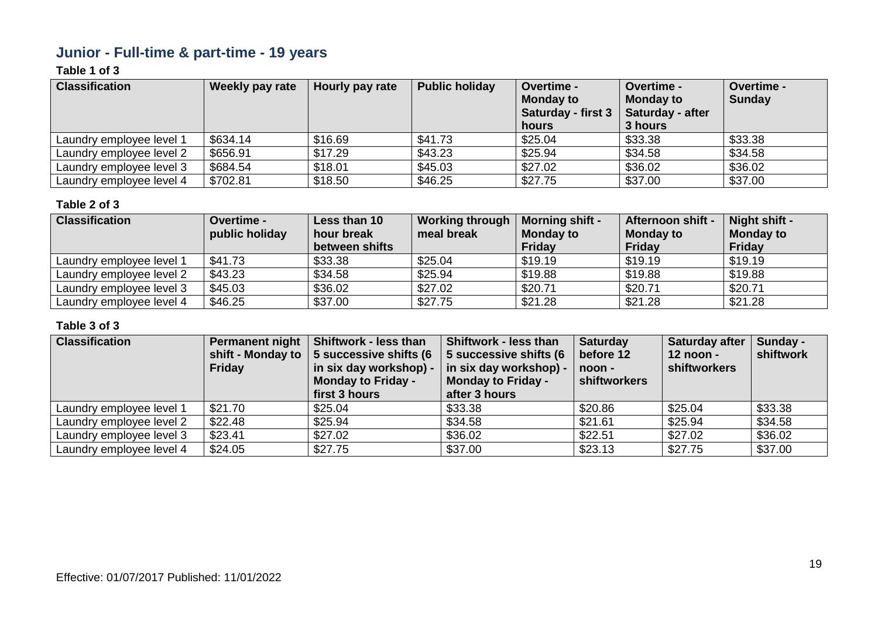# **Junior - Full-time & part-time - 19 years**

### **Table 1 of 3**

| <b>Classification</b>    | <b>Weekly pay rate</b> | Hourly pay rate | <b>Public holiday</b> | <b>Overtime -</b><br><b>Monday to</b><br><b>Saturday - first 3</b><br>hours | Overtime -<br><b>Monday to</b><br>Saturday - after<br>3 hours | Overtime -<br><b>Sunday</b> |
|--------------------------|------------------------|-----------------|-----------------------|-----------------------------------------------------------------------------|---------------------------------------------------------------|-----------------------------|
| Laundry employee level 1 | \$634.14               | \$16.69         | \$41.73               | \$25.04                                                                     | \$33.38                                                       | \$33.38                     |
| Laundry employee level 2 | \$656.91               | \$17.29         | \$43.23               | \$25.94                                                                     | \$34.58                                                       | \$34.58                     |
| Laundry employee level 3 | \$684.54               | \$18.01         | \$45.03               | \$27.02                                                                     | \$36.02                                                       | \$36.02                     |
| Laundry employee level 4 | \$702.81               | \$18.50         | \$46.25               | \$27.75                                                                     | \$37.00                                                       | \$37.00                     |

#### **Table 2 of 3**

| <b>Classification</b>    | Overtime -     | Less than 10   | <b>Working through</b> | <b>Morning shift -</b> | Afternoon shift - | Night shift -    |
|--------------------------|----------------|----------------|------------------------|------------------------|-------------------|------------------|
|                          | public holiday | hour break     | meal break             | <b>Monday to</b>       | <b>Monday to</b>  | <b>Monday to</b> |
|                          |                | between shifts |                        | <b>Friday</b>          | Friday            | Friday           |
| Laundry employee level 1 | \$41.73        | \$33.38        | \$25.04                | \$19.19                | \$19.19           | \$19.19          |
| Laundry employee level 2 | \$43.23        | \$34.58        | \$25.94                | \$19.88                | \$19.88           | \$19.88          |
| Laundry employee level 3 | \$45.03        | \$36.02        | \$27.02                | \$20.71                | \$20.71           | \$20.71          |
| Laundry employee level 4 | \$46.25        | \$37.00        | \$27.75                | \$21.28                | \$21.28           | \$21.28          |

| <b>Classification</b>    | <b>Permanent night</b><br>shift - Monday to<br><b>Friday</b> | Shiftwork - less than<br>5 successive shifts (6<br>in six day workshop) -<br><b>Monday to Friday -</b><br>first 3 hours | Shiftwork - less than<br>5 successive shifts (6<br>in six day workshop) -<br><b>Monday to Friday -</b><br>after 3 hours | <b>Saturday</b><br>before 12<br>noon -<br>shiftworkers | <b>Saturday after</b><br>$12$ noon -<br>shiftworkers | Sunday -<br>shiftwork |
|--------------------------|--------------------------------------------------------------|-------------------------------------------------------------------------------------------------------------------------|-------------------------------------------------------------------------------------------------------------------------|--------------------------------------------------------|------------------------------------------------------|-----------------------|
| Laundry employee level 1 | \$21.70                                                      | \$25.04                                                                                                                 | \$33.38                                                                                                                 | \$20.86                                                | \$25.04                                              | \$33.38               |
| Laundry employee level 2 | \$22.48                                                      | \$25.94                                                                                                                 | \$34.58                                                                                                                 | \$21.61                                                | \$25.94                                              | \$34.58               |
| Laundry employee level 3 | \$23.41                                                      | \$27.02                                                                                                                 | \$36.02                                                                                                                 | \$22.51                                                | \$27.02                                              | \$36.02               |
| Laundry employee level 4 | \$24.05                                                      | \$27.75                                                                                                                 | \$37.00                                                                                                                 | \$23.13                                                | \$27.75                                              | \$37.00               |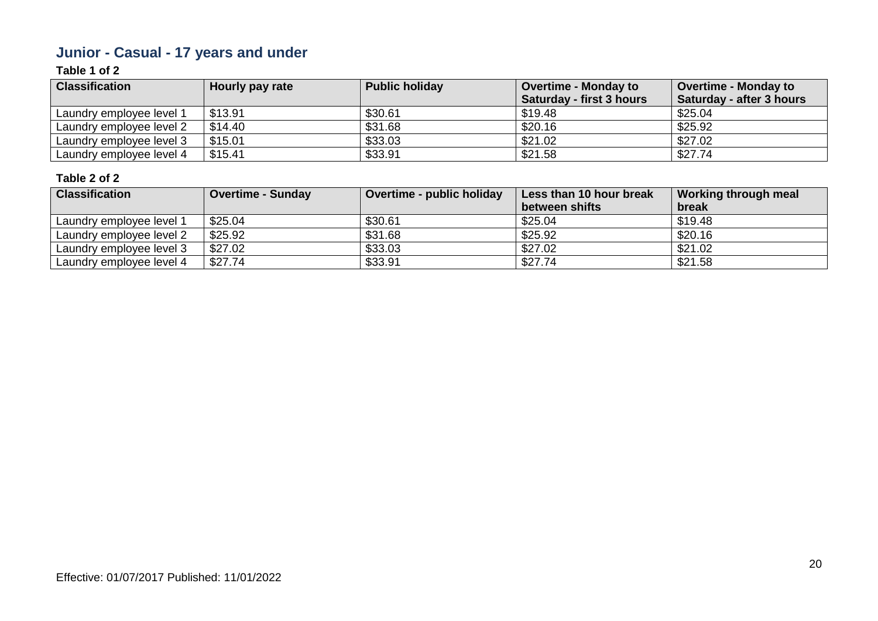# **Junior - Casual - 17 years and under**

### **Table 1 of 2**

| <b>Classification</b>    | Hourly pay rate | <b>Public holiday</b> | <b>Overtime - Monday to</b><br><b>Saturday - first 3 hours</b> | <b>Overtime - Monday to</b><br>Saturday - after 3 hours |
|--------------------------|-----------------|-----------------------|----------------------------------------------------------------|---------------------------------------------------------|
| Laundry employee level 1 | \$13.91         | \$30.61               | \$19.48                                                        | \$25.04                                                 |
| Laundry employee level 2 | \$14.40         | \$31.68               | \$20.16                                                        | \$25.92                                                 |
| Laundry employee level 3 | \$15.01         | \$33.03               | \$21.02                                                        | \$27.02                                                 |
| Laundry employee level 4 | \$15.41         | \$33.91               | \$21.58                                                        | \$27.74                                                 |

| <b>Classification</b>    | <b>Overtime - Sunday</b> | Overtime - public holiday | Less than 10 hour break | Working through meal |
|--------------------------|--------------------------|---------------------------|-------------------------|----------------------|
|                          |                          |                           | between shifts          | break                |
| Laundry employee level 1 | \$25.04                  | \$30.61                   | \$25.04                 | \$19.48              |
| Laundry employee level 2 | \$25.92                  | \$31.68                   | \$25.92                 | \$20.16              |
| Laundry employee level 3 | \$27.02                  | \$33.03                   | \$27.02                 | \$21.02              |
| Laundry employee level 4 | \$27.74                  | \$33.91                   | \$27.74                 | \$21.58              |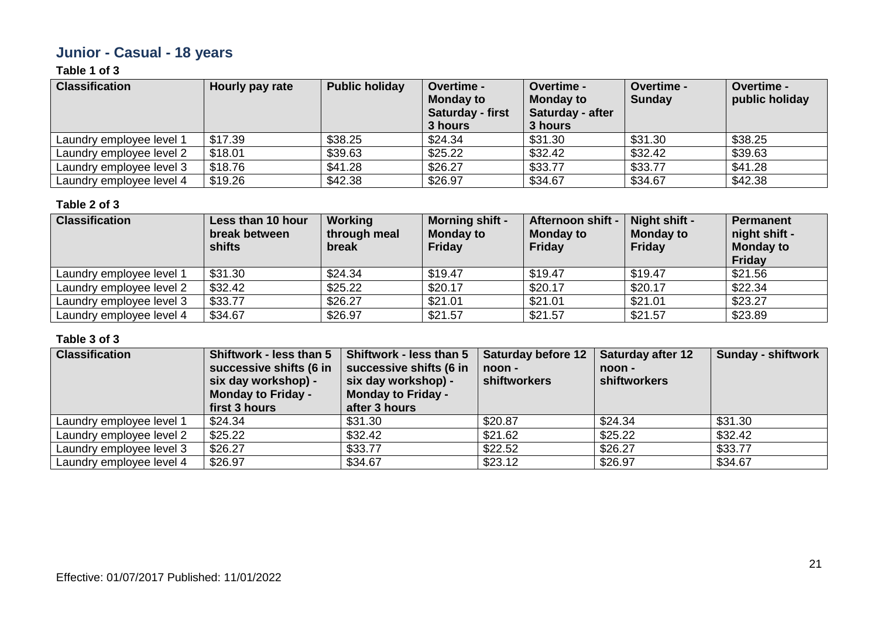# **Junior - Casual - 18 years**

### **Table 1 of 3**

| <b>Classification</b>    | Hourly pay rate | <b>Public holiday</b> | <b>Overtime -</b><br><b>Monday to</b><br><b>Saturday - first</b><br>3 hours | Overtime -<br><b>Monday to</b><br><b>Saturday - after</b><br>3 hours | <b>Overtime -</b><br><b>Sunday</b> | <b>Overtime -</b><br>public holiday |
|--------------------------|-----------------|-----------------------|-----------------------------------------------------------------------------|----------------------------------------------------------------------|------------------------------------|-------------------------------------|
| Laundry employee level 1 | \$17.39         | \$38.25               | \$24.34                                                                     | \$31.30                                                              | \$31.30                            | \$38.25                             |
| Laundry employee level 2 | \$18.01         | \$39.63               | \$25.22                                                                     | \$32.42                                                              | \$32.42                            | \$39.63                             |
| Laundry employee level 3 | \$18.76         | \$41.28               | \$26.27                                                                     | \$33.77                                                              | \$33.77                            | \$41.28                             |
| Laundry employee level 4 | \$19.26         | \$42.38               | \$26.97                                                                     | \$34.67                                                              | \$34.67                            | \$42.38                             |

#### **Table 2 of 3**

| <b>Classification</b>    | Less than 10 hour<br>break between<br>shifts | Working<br>through meal<br>break | <b>Morning shift -</b><br><b>Monday to</b><br><b>Friday</b> | Afternoon shift -<br><b>Monday to</b><br>Friday | Night shift -<br><b>Monday to</b><br>Friday | Permanent<br>night shift -<br><b>Monday to</b><br>Friday |
|--------------------------|----------------------------------------------|----------------------------------|-------------------------------------------------------------|-------------------------------------------------|---------------------------------------------|----------------------------------------------------------|
| Laundry employee level 1 | \$31.30                                      | \$24.34                          | \$19.47                                                     | \$19.47                                         | \$19.47                                     | \$21.56                                                  |
| Laundry employee level 2 | \$32.42                                      | \$25.22                          | \$20.17                                                     | \$20.17                                         | \$20.17                                     | \$22.34                                                  |
| Laundry employee level 3 | \$33.77                                      | \$26.27                          | \$21.01                                                     | \$21.01                                         | \$21.01                                     | \$23.27                                                  |
| Laundry employee level 4 | \$34.67                                      | \$26.97                          | \$21.57                                                     | \$21.57                                         | \$21.57                                     | \$23.89                                                  |

| <b>Classification</b>    | Shiftwork - less than 5<br>successive shifts (6 in<br>six day workshop) -<br><b>Monday to Friday -</b><br>first 3 hours | Shiftwork - less than 5<br>successive shifts (6 in<br>six day workshop) -<br><b>Monday to Friday -</b><br>after 3 hours | <b>Saturday before 12</b><br>noon -<br>shiftworkers | <b>Saturday after 12</b><br>noon -<br>shiftworkers | <b>Sunday - shiftwork</b> |
|--------------------------|-------------------------------------------------------------------------------------------------------------------------|-------------------------------------------------------------------------------------------------------------------------|-----------------------------------------------------|----------------------------------------------------|---------------------------|
| Laundry employee level 1 | \$24.34                                                                                                                 | \$31.30                                                                                                                 | \$20.87                                             | \$24.34                                            | \$31.30                   |
| Laundry employee level 2 | \$25.22                                                                                                                 | \$32.42                                                                                                                 | \$21.62                                             | \$25.22                                            | \$32.42                   |
| Laundry employee level 3 | \$26.27                                                                                                                 | \$33.77                                                                                                                 | \$22.52                                             | \$26.27                                            | \$33.77                   |
| Laundry employee level 4 | \$26.97                                                                                                                 | \$34.67                                                                                                                 | \$23.12                                             | \$26.97                                            | \$34.67                   |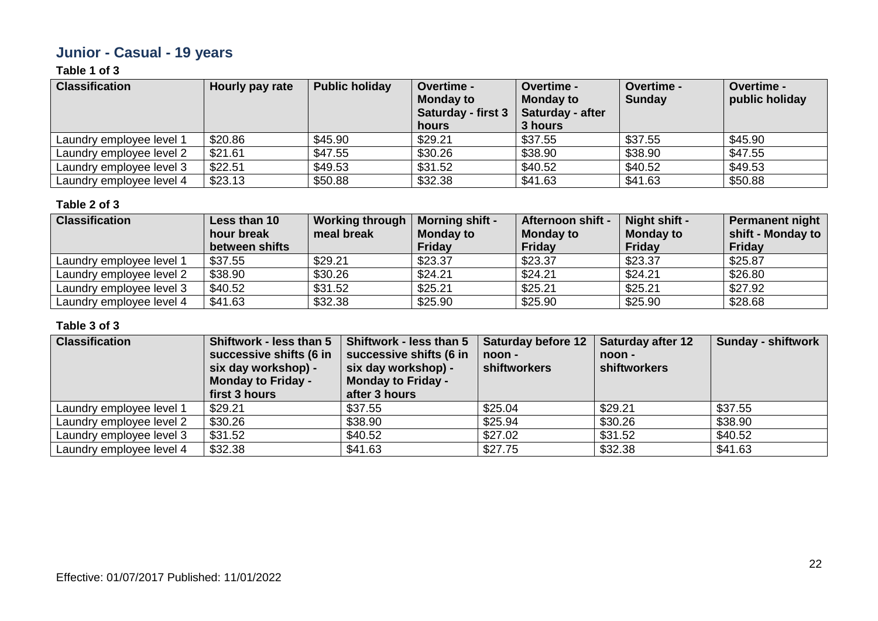# **Junior - Casual - 19 years**

### **Table 1 of 3**

| <b>Classification</b>    | Hourly pay rate | <b>Public holiday</b> | <b>Overtime -</b><br><b>Monday to</b><br><b>Saturday - first 3</b><br>hours | <b>Overtime -</b><br><b>Monday to</b><br>Saturday - after<br>3 hours | <b>Overtime -</b><br><b>Sunday</b> | Overtime -<br>public holiday |
|--------------------------|-----------------|-----------------------|-----------------------------------------------------------------------------|----------------------------------------------------------------------|------------------------------------|------------------------------|
| Laundry employee level 1 | \$20.86         | \$45.90               | \$29.21                                                                     | \$37.55                                                              | \$37.55                            | \$45.90                      |
| Laundry employee level 2 | \$21.61         | \$47.55               | \$30.26                                                                     | \$38.90                                                              | \$38.90                            | \$47.55                      |
| Laundry employee level 3 | \$22.51         | \$49.53               | \$31.52                                                                     | \$40.52                                                              | \$40.52                            | \$49.53                      |
| Laundry employee level 4 | \$23.13         | \$50.88               | \$32.38                                                                     | \$41.63                                                              | \$41.63                            | \$50.88                      |

#### **Table 2 of 3**

| <b>Classification</b>    | Less than 10   | <b>Working through</b> | <b>Morning shift -</b> | Afternoon shift - | Night shift -    | <b>Permanent night</b> |
|--------------------------|----------------|------------------------|------------------------|-------------------|------------------|------------------------|
|                          | hour break     | meal break             | <b>Monday to</b>       | <b>Monday to</b>  | <b>Monday to</b> | shift - Monday to      |
|                          | between shifts |                        | <b>Friday</b>          | <b>Friday</b>     | <b>Friday</b>    | <b>Friday</b>          |
| Laundry employee level 1 | \$37.55        | \$29.21                | \$23.37                | \$23.37           | \$23.37          | \$25.87                |
| Laundry employee level 2 | \$38.90        | \$30.26                | \$24.21                | \$24.21           | \$24.21          | \$26.80                |
| Laundry employee level 3 | \$40.52        | \$31.52                | \$25.21                | \$25.21           | \$25.21          | \$27.92                |
| Laundry employee level 4 | \$41.63        | \$32.38                | \$25.90                | \$25.90           | \$25.90          | \$28.68                |

| <b>Classification</b>    | Shiftwork - less than 5<br>successive shifts (6 in<br>six day workshop) -<br><b>Monday to Friday -</b><br>first 3 hours | Shiftwork - less than 5<br>successive shifts (6 in<br>six day workshop) -<br><b>Monday to Friday -</b><br>after 3 hours | <b>Saturday before 12</b><br>noon -<br>shiftworkers | <b>Saturday after 12</b><br>noon -<br>shiftworkers | <b>Sunday - shiftwork</b> |
|--------------------------|-------------------------------------------------------------------------------------------------------------------------|-------------------------------------------------------------------------------------------------------------------------|-----------------------------------------------------|----------------------------------------------------|---------------------------|
| Laundry employee level 1 | \$29.21                                                                                                                 | \$37.55                                                                                                                 | \$25.04                                             | \$29.21                                            | \$37.55                   |
| Laundry employee level 2 | \$30.26                                                                                                                 | \$38.90                                                                                                                 | \$25.94                                             | \$30.26                                            | \$38.90                   |
| Laundry employee level 3 | \$31.52                                                                                                                 | \$40.52                                                                                                                 | \$27.02                                             | \$31.52                                            | \$40.52                   |
| Laundry employee level 4 | \$32.38                                                                                                                 | \$41.63                                                                                                                 | \$27.75                                             | \$32.38                                            | \$41.63                   |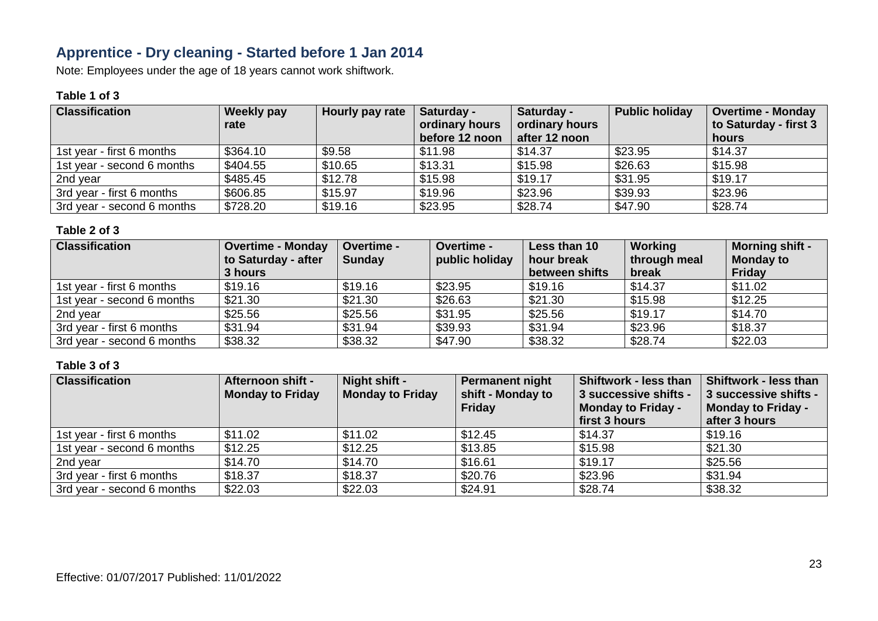# **Apprentice - Dry cleaning - Started before 1 Jan 2014**

Note: Employees under the age of 18 years cannot work shiftwork.

#### **Table 1 of 3**

| <b>Classification</b>      | Weekly pay<br>rate | Hourly pay rate | Saturday -<br>ordinary hours<br>before 12 noon | Saturday -<br>ordinary hours<br>after 12 noon | <b>Public holiday</b> | <b>Overtime - Monday</b><br>to Saturday - first 3<br>hours |
|----------------------------|--------------------|-----------------|------------------------------------------------|-----------------------------------------------|-----------------------|------------------------------------------------------------|
| 1st year - first 6 months  | \$364.10           | \$9.58          | \$11.98                                        | \$14.37                                       | \$23.95               | \$14.37                                                    |
| 1st year - second 6 months | \$404.55           | \$10.65         | \$13.31                                        | \$15.98                                       | \$26.63               | \$15.98                                                    |
| 2nd year                   | \$485.45           | \$12.78         | \$15.98                                        | \$19.17                                       | \$31.95               | \$19.17                                                    |
| 3rd year - first 6 months  | \$606.85           | \$15.97         | \$19.96                                        | \$23.96                                       | \$39.93               | \$23.96                                                    |
| 3rd year - second 6 months | \$728.20           | \$19.16         | \$23.95                                        | \$28.74                                       | \$47.90               | \$28.74                                                    |

#### **Table 2 of 3**

| <b>Classification</b>      | <b>Overtime - Monday</b> | Overtime -    | <b>Overtime -</b> | Less than 10   | Working      | <b>Morning shift -</b> |
|----------------------------|--------------------------|---------------|-------------------|----------------|--------------|------------------------|
|                            | to Saturday - after      | <b>Sunday</b> | public holiday    | hour break     | through meal | <b>Monday to</b>       |
|                            | 3 hours                  |               |                   | between shifts | break        | Friday                 |
| 1st year - first 6 months  | \$19.16                  | \$19.16       | \$23.95           | \$19.16        | \$14.37      | \$11.02                |
| 1st year - second 6 months | \$21.30                  | \$21.30       | \$26.63           | \$21.30        | \$15.98      | \$12.25                |
| 2nd year                   | \$25.56                  | \$25.56       | \$31.95           | \$25.56        | \$19.17      | \$14.70                |
| 3rd year - first 6 months  | \$31.94                  | \$31.94       | \$39.93           | \$31.94        | \$23.96      | \$18.37                |
| 3rd year - second 6 months | \$38.32                  | \$38.32       | \$47.90           | \$38.32        | \$28.74      | \$22.03                |

| <b>Classification</b>      | Afternoon shift -<br><b>Monday to Friday</b> | Night shift -<br><b>Monday to Friday</b> | <b>Permanent night</b><br>shift - Monday to<br>Friday | <b>Shiftwork - less than</b><br>3 successive shifts -<br><b>Monday to Friday -</b><br>first 3 hours | Shiftwork - less than<br>3 successive shifts -<br>Monday to Friday -<br>after 3 hours |
|----------------------------|----------------------------------------------|------------------------------------------|-------------------------------------------------------|-----------------------------------------------------------------------------------------------------|---------------------------------------------------------------------------------------|
| 1st year - first 6 months  | \$11.02                                      | \$11.02                                  | \$12.45                                               | \$14.37                                                                                             | \$19.16                                                                               |
| 1st year - second 6 months | \$12.25                                      | \$12.25                                  | \$13.85                                               | \$15.98                                                                                             | \$21.30                                                                               |
| 2nd year                   | \$14.70                                      | \$14.70                                  | \$16.61                                               | \$19.17                                                                                             | \$25.56                                                                               |
| 3rd year - first 6 months  | \$18.37                                      | \$18.37                                  | \$20.76                                               | \$23.96                                                                                             | \$31.94                                                                               |
| 3rd year - second 6 months | \$22.03                                      | \$22.03                                  | \$24.91                                               | \$28.74                                                                                             | \$38.32                                                                               |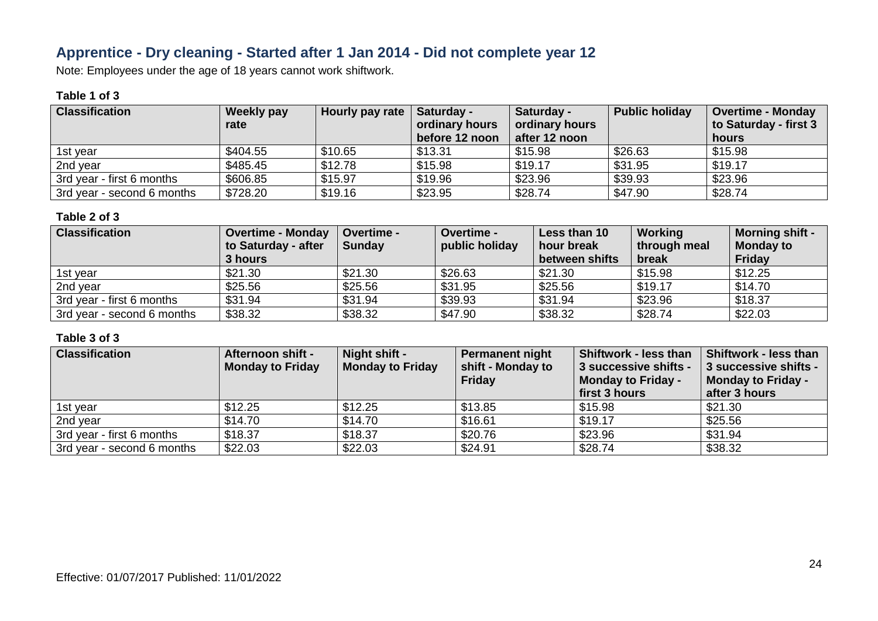### **Apprentice - Dry cleaning - Started after 1 Jan 2014 - Did not complete year 12**

Note: Employees under the age of 18 years cannot work shiftwork.

#### **Table 1 of 3**

| <b>Classification</b>      | <b>Weekly pay</b><br>rate | Hourly pay rate | Saturday -<br>ordinary hours<br>before 12 noon | Saturday -<br>ordinary hours<br>after 12 noon | <b>Public holiday</b> | <b>Overtime - Monday</b><br>to Saturday - first 3<br>hours |
|----------------------------|---------------------------|-----------------|------------------------------------------------|-----------------------------------------------|-----------------------|------------------------------------------------------------|
| 1st vear                   | \$404.55                  | \$10.65         | \$13.31                                        | \$15.98                                       | \$26.63               | \$15.98                                                    |
| 2nd year                   | \$485.45                  | \$12.78         | \$15.98                                        | \$19.17                                       | \$31.95               | \$19.17                                                    |
| 3rd year - first 6 months  | \$606.85                  | \$15.97         | \$19.96                                        | \$23.96                                       | \$39.93               | \$23.96                                                    |
| 3rd year - second 6 months | \$728.20                  | \$19.16         | \$23.95                                        | \$28.74                                       | \$47.90               | \$28.74                                                    |

#### **Table 2 of 3**

| <b>Classification</b>      | <b>Overtime - Monday</b><br>to Saturday - after | <b>Overtime -</b><br><b>Sunday</b> | <b>Overtime -</b><br>public holiday | Less than 10<br>hour break | <b>Working</b><br>through meal | <b>Morning shift -</b><br><b>Monday to</b> |
|----------------------------|-------------------------------------------------|------------------------------------|-------------------------------------|----------------------------|--------------------------------|--------------------------------------------|
|                            | 3 hours                                         |                                    |                                     | between shifts             | break                          | Friday                                     |
| 1st year                   | \$21.30                                         | \$21.30                            | \$26.63                             | \$21.30                    | \$15.98                        | \$12.25                                    |
| 2nd year                   | \$25.56                                         | \$25.56                            | \$31.95                             | \$25.56                    | \$19.17                        | \$14.70                                    |
| 3rd year - first 6 months  | \$31.94                                         | \$31.94                            | \$39.93                             | \$31.94                    | \$23.96                        | \$18.37                                    |
| 3rd year - second 6 months | \$38.32                                         | \$38.32                            | \$47.90                             | \$38.32                    | \$28.74                        | \$22.03                                    |

| <b>Classification</b>      | Afternoon shift -<br><b>Monday to Friday</b> | Night shift -<br><b>Monday to Friday</b> | <b>Permanent night</b><br>shift - Monday to<br>Friday | <b>Shiftwork - less than</b><br>3 successive shifts -<br><b>Monday to Friday -</b><br>first 3 hours | Shiftwork - less than<br>3 successive shifts -<br><b>Monday to Friday -</b><br>after 3 hours |
|----------------------------|----------------------------------------------|------------------------------------------|-------------------------------------------------------|-----------------------------------------------------------------------------------------------------|----------------------------------------------------------------------------------------------|
| 1st year                   | \$12.25                                      | \$12.25                                  | \$13.85                                               | \$15.98                                                                                             | \$21.30                                                                                      |
| 2nd year                   | \$14.70                                      | \$14.70                                  | \$16.61                                               | \$19.17                                                                                             | \$25.56                                                                                      |
| 3rd year - first 6 months  | \$18.37                                      | \$18.37                                  | \$20.76                                               | \$23.96                                                                                             | \$31.94                                                                                      |
| 3rd year - second 6 months | \$22.03                                      | \$22.03                                  | \$24.91                                               | \$28.74                                                                                             | \$38.32                                                                                      |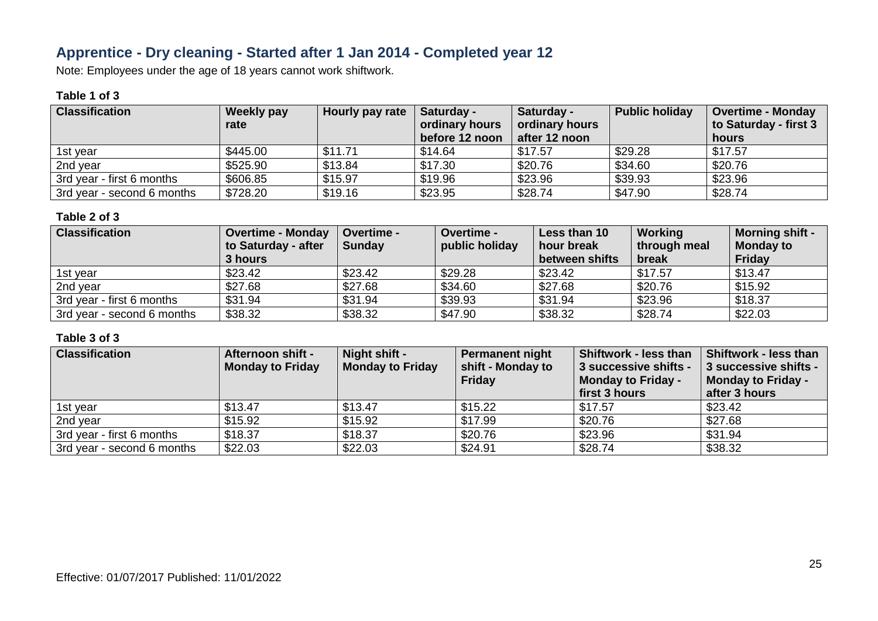# **Apprentice - Dry cleaning - Started after 1 Jan 2014 - Completed year 12**

Note: Employees under the age of 18 years cannot work shiftwork.

### **Table 1 of 3**

| <b>Classification</b>      | <b>Weekly pay</b><br>rate | Hourly pay rate | Saturday -<br>ordinary hours | <b>Saturday -</b><br>ordinary hours | <b>Public holiday</b> | <b>Overtime - Monday</b><br>to Saturday - first 3 |
|----------------------------|---------------------------|-----------------|------------------------------|-------------------------------------|-----------------------|---------------------------------------------------|
|                            |                           |                 | before 12 noon               | after 12 noon                       |                       | hours                                             |
| 1st vear                   | \$445.00                  | \$11.71         | \$14.64                      | \$17.57                             | \$29.28               | \$17.57                                           |
| 2nd year                   | \$525.90                  | \$13.84         | \$17.30                      | \$20.76                             | \$34.60               | \$20.76                                           |
| 3rd year - first 6 months  | \$606.85                  | \$15.97         | \$19.96                      | \$23.96                             | \$39.93               | \$23.96                                           |
| 3rd year - second 6 months | \$728.20                  | \$19.16         | \$23.95                      | \$28.74                             | \$47.90               | \$28.74                                           |

#### **Table 2 of 3**

| <b>Classification</b>      | <b>Overtime - Monday</b> | <b>Overtime -</b> | <b>Overtime -</b> | Less than 10   | <b>Working</b> | <b>Morning shift -</b> |
|----------------------------|--------------------------|-------------------|-------------------|----------------|----------------|------------------------|
|                            | to Saturday - after      | <b>Sunday</b>     | public holiday    | hour break     | through meal   | <b>Monday to</b>       |
|                            | 3 hours                  |                   |                   | between shifts | break          | Friday                 |
| 1st year                   | \$23.42                  | \$23.42           | \$29.28           | \$23.42        | \$17.57        | \$13.47                |
| 2nd year                   | \$27.68                  | \$27.68           | \$34.60           | \$27.68        | \$20.76        | \$15.92                |
| 3rd year - first 6 months  | \$31.94                  | \$31.94           | \$39.93           | \$31.94        | \$23.96        | \$18.37                |
| 3rd year - second 6 months | \$38.32                  | \$38.32           | \$47.90           | \$38.32        | \$28.74        | \$22.03                |

| <b>Classification</b>      | Afternoon shift -<br><b>Monday to Friday</b> | Night shift -<br><b>Monday to Friday</b> | <b>Permanent night</b><br>shift - Monday to<br>Friday | <b>Shiftwork - less than</b><br>3 successive shifts -<br><b>Monday to Friday -</b><br>first 3 hours | Shiftwork - less than<br>3 successive shifts -<br><b>Monday to Friday -</b><br>after 3 hours |
|----------------------------|----------------------------------------------|------------------------------------------|-------------------------------------------------------|-----------------------------------------------------------------------------------------------------|----------------------------------------------------------------------------------------------|
| 1st year                   | \$13.47                                      | \$13.47                                  | \$15.22                                               | \$17.57                                                                                             | \$23.42                                                                                      |
| 2nd year                   | \$15.92                                      | \$15.92                                  | \$17.99                                               | \$20.76                                                                                             | \$27.68                                                                                      |
| 3rd year - first 6 months  | \$18.37                                      | \$18.37                                  | \$20.76                                               | \$23.96                                                                                             | \$31.94                                                                                      |
| 3rd year - second 6 months | \$22.03                                      | \$22.03                                  | \$24.91                                               | \$28.74                                                                                             | \$38.32                                                                                      |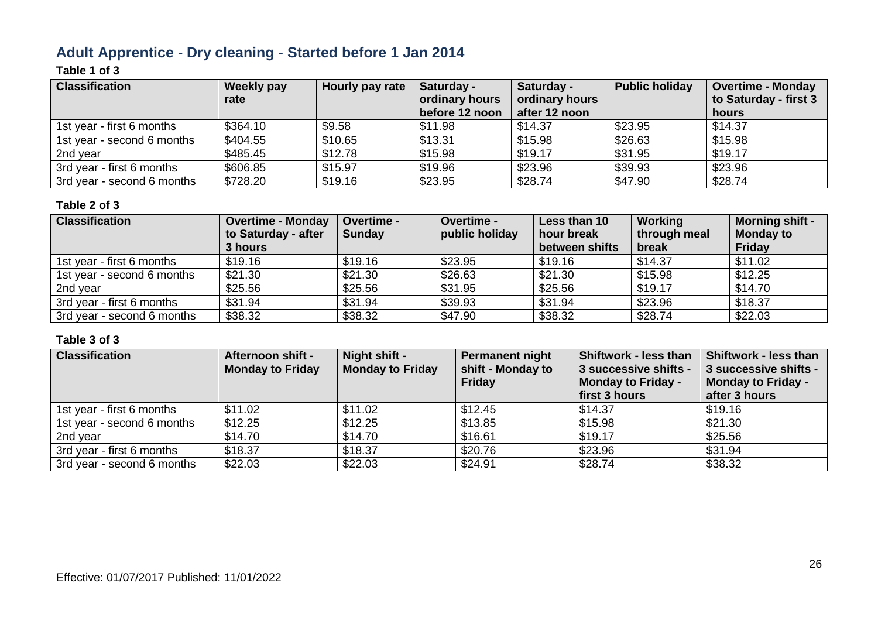# **Adult Apprentice - Dry cleaning - Started before 1 Jan 2014**

### **Table 1 of 3**

| <b>Classification</b>      | <b>Weekly pay</b><br>rate | Hourly pay rate | Saturday -<br>ordinary hours | Saturday -<br>ordinary hours | <b>Public holiday</b> | <b>Overtime - Monday</b><br>to Saturday - first 3 |
|----------------------------|---------------------------|-----------------|------------------------------|------------------------------|-----------------------|---------------------------------------------------|
|                            |                           |                 | before 12 noon               | after 12 noon                |                       | hours                                             |
| 1st year - first 6 months  | \$364.10                  | \$9.58          | \$11.98                      | \$14.37                      | \$23.95               | \$14.37                                           |
| 1st year - second 6 months | \$404.55                  | \$10.65         | \$13.31                      | \$15.98                      | \$26.63               | \$15.98                                           |
| 2nd year                   | \$485.45                  | \$12.78         | \$15.98                      | \$19.17                      | \$31.95               | \$19.17                                           |
| 3rd year - first 6 months  | \$606.85                  | \$15.97         | \$19.96                      | \$23.96                      | \$39.93               | \$23.96                                           |
| 3rd year - second 6 months | \$728.20                  | \$19.16         | \$23.95                      | \$28.74                      | \$47.90               | \$28.74                                           |

#### **Table 2 of 3**

| <b>Classification</b>      | <b>Overtime - Monday</b><br>to Saturday - after<br>3 hours | <b>Overtime -</b><br><b>Sunday</b> | <b>Overtime -</b><br>public holiday | Less than 10<br>hour break<br>between shifts | Working<br>through meal<br>break | <b>Morning shift -</b><br><b>Monday to</b><br><b>Friday</b> |
|----------------------------|------------------------------------------------------------|------------------------------------|-------------------------------------|----------------------------------------------|----------------------------------|-------------------------------------------------------------|
| 1st year - first 6 months  | \$19.16                                                    | \$19.16                            | \$23.95                             | \$19.16                                      | \$14.37                          | \$11.02                                                     |
| 1st year - second 6 months | \$21.30                                                    | \$21.30                            | \$26.63                             | \$21.30                                      | \$15.98                          | \$12.25                                                     |
| 2nd year                   | \$25.56                                                    | \$25.56                            | \$31.95                             | \$25.56                                      | \$19.17                          | \$14.70                                                     |
| 3rd year - first 6 months  | \$31.94                                                    | \$31.94                            | \$39.93                             | \$31.94                                      | \$23.96                          | \$18.37                                                     |
| 3rd year - second 6 months | \$38.32                                                    | \$38.32                            | \$47.90                             | \$38.32                                      | \$28.74                          | \$22.03                                                     |

| <b>Classification</b>      | <b>Afternoon shift -</b><br><b>Monday to Friday</b> | Night shift -<br><b>Monday to Friday</b> | <b>Permanent night</b><br>shift - Monday to<br>Friday | Shiftwork - less than<br>3 successive shifts -<br><b>Monday to Friday -</b><br>first 3 hours | Shiftwork - less than<br>3 successive shifts -<br><b>Monday to Friday -</b><br>after 3 hours |
|----------------------------|-----------------------------------------------------|------------------------------------------|-------------------------------------------------------|----------------------------------------------------------------------------------------------|----------------------------------------------------------------------------------------------|
| 1st year - first 6 months  | \$11.02                                             | \$11.02                                  | \$12.45                                               | \$14.37                                                                                      | \$19.16                                                                                      |
| 1st year - second 6 months | \$12.25                                             | \$12.25                                  | \$13.85                                               | \$15.98                                                                                      | \$21.30                                                                                      |
| 2nd year                   | \$14.70                                             | \$14.70                                  | \$16.61                                               | \$19.17                                                                                      | \$25.56                                                                                      |
| 3rd year - first 6 months  | \$18.37                                             | \$18.37                                  | \$20.76                                               | \$23.96                                                                                      | \$31.94                                                                                      |
| 3rd year - second 6 months | \$22.03                                             | \$22.03                                  | \$24.91                                               | \$28.74                                                                                      | \$38.32                                                                                      |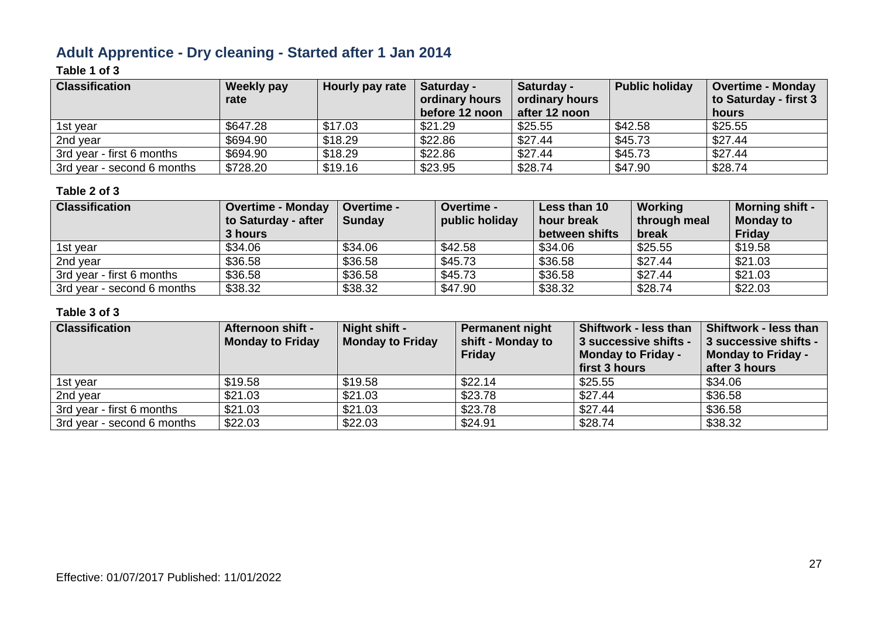# **Adult Apprentice - Dry cleaning - Started after 1 Jan 2014**

### **Table 1 of 3**

| <b>Classification</b>      | <b>Weekly pay</b><br>rate | Hourly pay rate | Saturday -<br>ordinary hours<br>before 12 noon | Saturday -<br>ordinary hours<br>after 12 noon | <b>Public holiday</b> | <b>Overtime - Monday</b><br>to Saturday - first 3<br>hours |
|----------------------------|---------------------------|-----------------|------------------------------------------------|-----------------------------------------------|-----------------------|------------------------------------------------------------|
| 1st year                   | \$647.28                  | \$17.03         | \$21.29                                        | \$25.55                                       | \$42.58               | \$25.55                                                    |
| 2nd year                   | \$694.90                  | \$18.29         | \$22.86                                        | \$27.44                                       | \$45.73               | \$27.44                                                    |
| 3rd year - first 6 months  | \$694.90                  | \$18.29         | \$22.86                                        | \$27.44                                       | \$45.73               | \$27.44                                                    |
| 3rd year - second 6 months | \$728.20                  | \$19.16         | \$23.95                                        | \$28.74                                       | \$47.90               | \$28.74                                                    |

#### **Table 2 of 3**

| <b>Classification</b>      | <b>Overtime - Monday</b> | Overtime -    | <b>Overtime -</b> | Less than 10   | <b>Working</b> | <b>Morning shift -</b> |
|----------------------------|--------------------------|---------------|-------------------|----------------|----------------|------------------------|
|                            | to Saturday - after      | <b>Sunday</b> | public holiday    | hour break     | through meal   | <b>Monday to</b>       |
|                            | 3 hours                  |               |                   | between shifts | break          | Friday                 |
| 1st vear                   | \$34.06                  | \$34.06       | \$42.58           | \$34.06        | \$25.55        | \$19.58                |
| 2nd year                   | \$36.58                  | \$36.58       | \$45.73           | \$36.58        | \$27.44        | \$21.03                |
| 3rd year - first 6 months  | \$36.58                  | \$36.58       | \$45.73           | \$36.58        | \$27.44        | \$21.03                |
| 3rd year - second 6 months | \$38.32                  | \$38.32       | \$47.90           | \$38.32        | \$28.74        | \$22.03                |

| <b>Classification</b>      | Afternoon shift -<br><b>Monday to Friday</b> | Night shift -<br><b>Monday to Friday</b> | <b>Permanent night</b><br>shift - Monday to<br>Friday | <b>Shiftwork - less than</b><br>3 successive shifts -<br>Monday to Friday -<br>first 3 hours | <b>Shiftwork - less than</b><br>3 successive shifts -<br><b>Monday to Friday -</b><br>after 3 hours |
|----------------------------|----------------------------------------------|------------------------------------------|-------------------------------------------------------|----------------------------------------------------------------------------------------------|-----------------------------------------------------------------------------------------------------|
| 1st year                   | \$19.58                                      | \$19.58                                  | \$22.14                                               | \$25.55                                                                                      | \$34.06                                                                                             |
| 2nd year                   | \$21.03                                      | \$21.03                                  | \$23.78                                               | \$27.44                                                                                      | \$36.58                                                                                             |
| 3rd year - first 6 months  | \$21.03                                      | \$21.03                                  | \$23.78                                               | \$27.44                                                                                      | \$36.58                                                                                             |
| 3rd year - second 6 months | \$22.03                                      | \$22.03                                  | \$24.91                                               | \$28.74                                                                                      | \$38.32                                                                                             |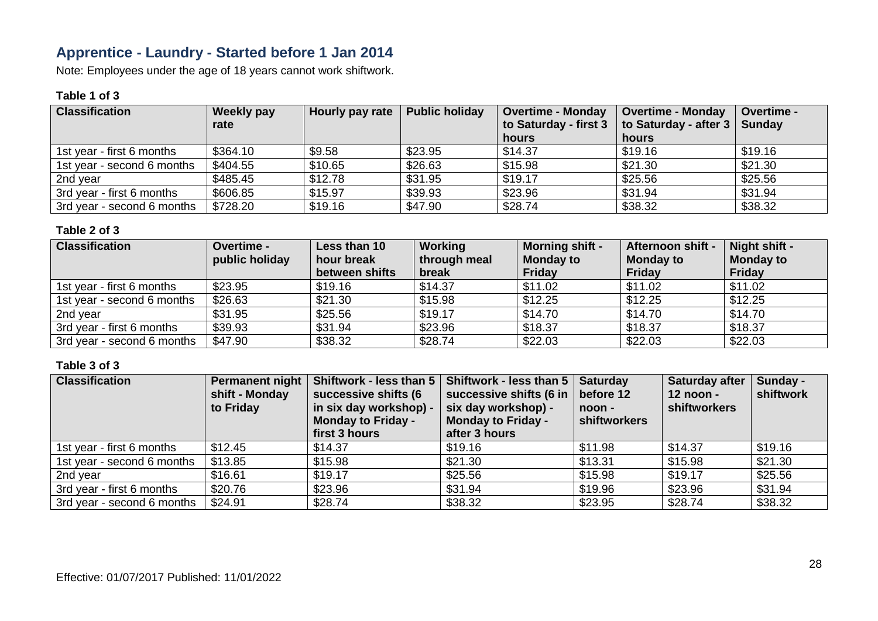# **Apprentice - Laundry - Started before 1 Jan 2014**

Note: Employees under the age of 18 years cannot work shiftwork.

#### **Table 1 of 3**

| <b>Classification</b>      | <b>Weekly pay</b><br>rate | Hourly pay rate | <b>Public holiday</b> | <b>Overtime - Monday</b><br>to Saturday - first 3 | <b>Overtime - Monday</b><br>to Saturday - after 3   Sunday | Overtime - |
|----------------------------|---------------------------|-----------------|-----------------------|---------------------------------------------------|------------------------------------------------------------|------------|
|                            |                           |                 |                       | hours                                             | hours                                                      |            |
| 1st year - first 6 months  | \$364.10                  | \$9.58          | \$23.95               | \$14.37                                           | \$19.16                                                    | \$19.16    |
| 1st year - second 6 months | \$404.55                  | \$10.65         | \$26.63               | \$15.98                                           | \$21.30                                                    | \$21.30    |
| 2nd year                   | \$485.45                  | \$12.78         | \$31.95               | \$19.17                                           | \$25.56                                                    | \$25.56    |
| 3rd year - first 6 months  | \$606.85                  | \$15.97         | \$39.93               | \$23.96                                           | \$31.94                                                    | \$31.94    |
| 3rd year - second 6 months | \$728.20                  | \$19.16         | \$47.90               | \$28.74                                           | \$38.32                                                    | \$38.32    |

#### **Table 2 of 3**

| <b>Classification</b>      | Overtime -     | Less than 10   | Working      | <b>Morning shift -</b> | <b>Afternoon shift -</b> | Night shift -    |
|----------------------------|----------------|----------------|--------------|------------------------|--------------------------|------------------|
|                            | public holiday | hour break     | through meal | <b>Monday to</b>       | <b>Monday to</b>         | <b>Monday to</b> |
|                            |                | between shifts | break        | <b>Friday</b>          | Friday                   | <b>Friday</b>    |
| 1st year - first 6 months  | \$23.95        | \$19.16        | \$14.37      | \$11.02                | \$11.02                  | \$11.02          |
| 1st year - second 6 months | \$26.63        | \$21.30        | \$15.98      | \$12.25                | \$12.25                  | \$12.25          |
| 2nd year                   | \$31.95        | \$25.56        | \$19.17      | \$14.70                | \$14.70                  | \$14.70          |
| 3rd year - first 6 months  | \$39.93        | \$31.94        | \$23.96      | \$18.37                | \$18.37                  | \$18.37          |
| 3rd year - second 6 months | \$47.90        | \$38.32        | \$28.74      | \$22.03                | \$22.03                  | \$22.03          |

| <b>Classification</b>      | <b>Permanent night</b><br>shift - Monday<br>to Friday | successive shifts (6<br>in six day workshop) -<br><b>Monday to Friday -</b><br>first 3 hours | Shiftwork - less than $5 \mid$ Shiftwork - less than $5 \mid$<br>successive shifts (6 in<br>six day workshop) -<br><b>Monday to Friday -</b><br>after 3 hours | <b>Saturday</b><br>before 12<br>noon -<br>shiftworkers | <b>Saturday after</b><br>12 noon -<br>shiftworkers | Sunday -<br>shiftwork |
|----------------------------|-------------------------------------------------------|----------------------------------------------------------------------------------------------|---------------------------------------------------------------------------------------------------------------------------------------------------------------|--------------------------------------------------------|----------------------------------------------------|-----------------------|
| 1st year - first 6 months  | \$12.45                                               | \$14.37                                                                                      | \$19.16                                                                                                                                                       | \$11.98                                                | \$14.37                                            | \$19.16               |
| 1st year - second 6 months | \$13.85                                               | \$15.98                                                                                      | \$21.30                                                                                                                                                       | \$13.31                                                | \$15.98                                            | \$21.30               |
| 2nd year                   | \$16.61                                               | \$19.17                                                                                      | \$25.56                                                                                                                                                       | \$15.98                                                | \$19.17                                            | \$25.56               |
| 3rd year - first 6 months  | \$20.76                                               | \$23.96                                                                                      | \$31.94                                                                                                                                                       | \$19.96                                                | \$23.96                                            | \$31.94               |
| 3rd year - second 6 months | \$24.91                                               | \$28.74                                                                                      | \$38.32                                                                                                                                                       | \$23.95                                                | \$28.74                                            | \$38.32               |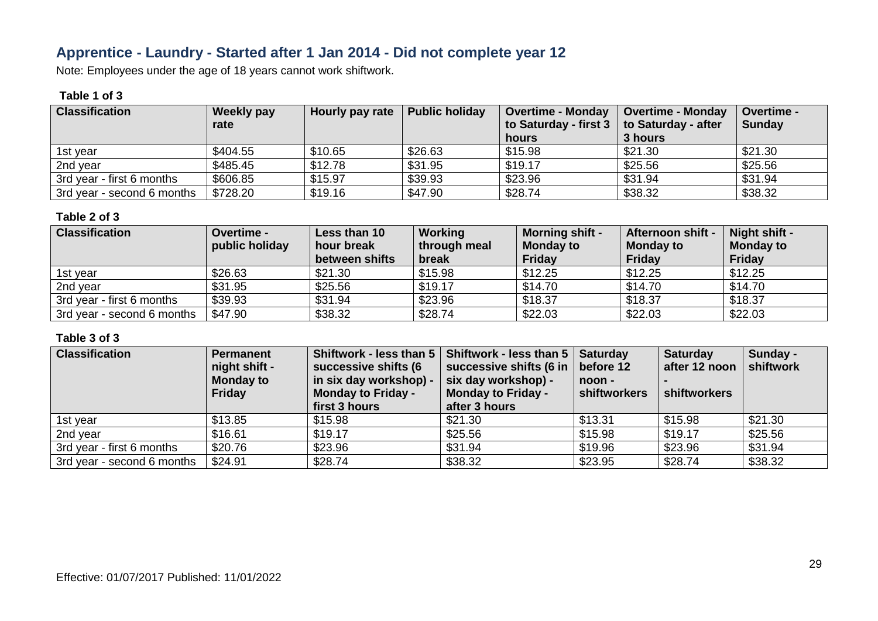# **Apprentice - Laundry - Started after 1 Jan 2014 - Did not complete year 12**

Note: Employees under the age of 18 years cannot work shiftwork.

#### **Table 1 of 3**

| <b>Classification</b>      | <b>Weekly pay</b><br>rate | Hourly pay rate | <b>Public holiday</b> | <b>Overtime - Monday</b><br>to Saturday - first 3<br>hours | <b>Overtime - Monday</b><br>to Saturday - after<br>3 hours | <b>Overtime -</b><br><b>Sunday</b> |
|----------------------------|---------------------------|-----------------|-----------------------|------------------------------------------------------------|------------------------------------------------------------|------------------------------------|
| 1st year                   | \$404.55                  | \$10.65         | \$26.63               | \$15.98                                                    | \$21.30                                                    | \$21.30                            |
| 2nd year                   | \$485.45                  | \$12.78         | \$31.95               | \$19.17                                                    | \$25.56                                                    | \$25.56                            |
| 3rd year - first 6 months  | \$606.85                  | \$15.97         | \$39.93               | \$23.96                                                    | \$31.94                                                    | \$31.94                            |
| 3rd year - second 6 months | \$728.20                  | \$19.16         | \$47.90               | \$28.74                                                    | \$38.32                                                    | \$38.32                            |

#### **Table 2 of 3**

| <b>Classification</b>      | <b>Overtime -</b> | Less than 10   | Working      | <b>Morning shift -</b> | <b>Afternoon shift -</b> | Night shift -    |
|----------------------------|-------------------|----------------|--------------|------------------------|--------------------------|------------------|
|                            | public holiday    | hour break     | through meal | <b>Monday to</b>       | <b>Monday to</b>         | <b>Monday to</b> |
|                            |                   | between shifts | break        | Friday                 | <b>Friday</b>            | <b>Friday</b>    |
| 1st year                   | \$26.63           | \$21.30        | \$15.98      | \$12.25                | \$12.25                  | \$12.25          |
| 2nd year                   | \$31.95           | \$25.56        | \$19.17      | \$14.70                | \$14.70                  | \$14.70          |
| 3rd year - first 6 months  | \$39.93           | \$31.94        | \$23.96      | \$18.37                | \$18.37                  | \$18.37          |
| 3rd year - second 6 months | \$47.90           | \$38.32        | \$28.74      | \$22.03                | \$22.03                  | \$22.03          |

| <b>Classification</b>      | Permanent<br>night shift -<br><b>Monday to</b><br>Friday | successive shifts (6<br>in six day workshop) -<br><b>Monday to Friday -</b><br>first 3 hours | Shiftwork - less than 5   Shiftwork - less than 5  <br>successive shifts (6 in<br>six day workshop) -<br><b>Monday to Friday -</b><br>after 3 hours | <b>Saturday</b><br>before 12<br>noon -<br><b>shiftworkers</b> | <b>Saturday</b><br>after 12 noon<br>shiftworkers | Sunday -<br>shiftwork |
|----------------------------|----------------------------------------------------------|----------------------------------------------------------------------------------------------|-----------------------------------------------------------------------------------------------------------------------------------------------------|---------------------------------------------------------------|--------------------------------------------------|-----------------------|
| 1st year                   | \$13.85                                                  | \$15.98                                                                                      | \$21.30                                                                                                                                             | \$13.31                                                       | \$15.98                                          | \$21.30               |
| 2nd year                   | \$16.61                                                  | \$19.17                                                                                      | \$25.56                                                                                                                                             | \$15.98                                                       | \$19.17                                          | \$25.56               |
| 3rd year - first 6 months  | \$20.76                                                  | \$23.96                                                                                      | \$31.94                                                                                                                                             | \$19.96                                                       | \$23.96                                          | \$31.94               |
| 3rd year - second 6 months | \$24.91                                                  | \$28.74                                                                                      | \$38.32                                                                                                                                             | \$23.95                                                       | \$28.74                                          | \$38.32               |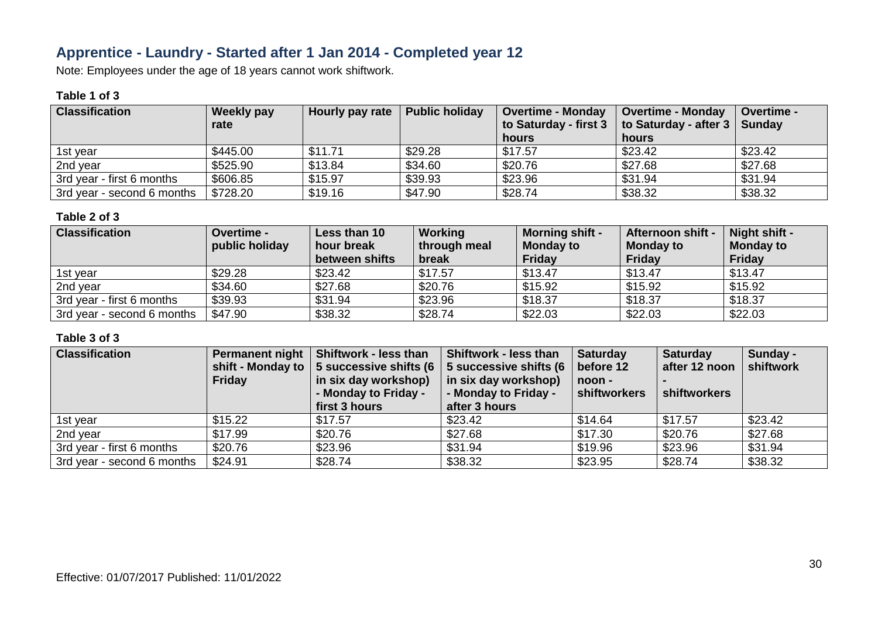# **Apprentice - Laundry - Started after 1 Jan 2014 - Completed year 12**

Note: Employees under the age of 18 years cannot work shiftwork.

### **Table 1 of 3**

| <b>Classification</b>      | <b>Weekly pay</b><br>rate | Hourly pay rate | <b>Public holiday</b> | <b>Overtime - Monday</b><br>to Saturday - first 3 | <b>Overtime - Monday</b><br>to Saturday - after 3   Sunday | Overtime - |
|----------------------------|---------------------------|-----------------|-----------------------|---------------------------------------------------|------------------------------------------------------------|------------|
|                            |                           |                 |                       | hours                                             | hours                                                      |            |
| 1st year                   | \$445.00                  | \$11.71         | \$29.28               | \$17.57                                           | \$23.42                                                    | \$23.42    |
| 2nd year                   | \$525.90                  | \$13.84         | \$34.60               | \$20.76                                           | \$27.68                                                    | \$27.68    |
| 3rd year - first 6 months  | \$606.85                  | \$15.97         | \$39.93               | \$23.96                                           | \$31.94                                                    | \$31.94    |
| 3rd year - second 6 months | \$728.20                  | \$19.16         | \$47.90               | \$28.74                                           | \$38.32                                                    | \$38.32    |

#### **Table 2 of 3**

| <b>Classification</b>      | <b>Overtime -</b> | Less than 10   | Working      | <b>Morning shift -</b> | <b>Afternoon shift -</b> | Night shift -    |
|----------------------------|-------------------|----------------|--------------|------------------------|--------------------------|------------------|
|                            | public holiday    | hour break     | through meal | <b>Monday to</b>       | <b>Monday to</b>         | <b>Monday to</b> |
|                            |                   | between shifts | break        | Friday                 | <b>Friday</b>            | <b>Friday</b>    |
| 1st year                   | \$29.28           | \$23.42        | \$17.57      | \$13.47                | \$13.47                  | \$13.47          |
| 2nd year                   | \$34.60           | \$27.68        | \$20.76      | \$15.92                | \$15.92                  | \$15.92          |
| 3rd year - first 6 months  | \$39.93           | \$31.94        | \$23.96      | \$18.37                | \$18.37                  | \$18.37          |
| 3rd year - second 6 months | \$47.90           | \$38.32        | \$28.74      | \$22.03                | \$22.03                  | \$22.03          |

| <b>Classification</b>      | <b>Friday</b> | Permanent night   Shiftwork - less than<br>shift - Monday to $\vert$ 5 successive shifts (6<br>in six day workshop)<br>- Monday to Friday -<br>first 3 hours | <b>Shiftwork - less than</b><br>5 successive shifts (6<br>in six day workshop)<br>- Monday to Friday -<br>after 3 hours | <b>Saturday</b><br>before 12<br>noon -<br>shiftworkers | <b>Saturday</b><br>after 12 noon<br>shiftworkers | Sunday -<br>shiftwork |
|----------------------------|---------------|--------------------------------------------------------------------------------------------------------------------------------------------------------------|-------------------------------------------------------------------------------------------------------------------------|--------------------------------------------------------|--------------------------------------------------|-----------------------|
| 1st year                   | \$15.22       | \$17.57                                                                                                                                                      | \$23.42                                                                                                                 | \$14.64                                                | \$17.57                                          | \$23.42               |
| 2nd year                   | \$17.99       | \$20.76                                                                                                                                                      | \$27.68                                                                                                                 | \$17.30                                                | \$20.76                                          | \$27.68               |
| 3rd year - first 6 months  | \$20.76       | \$23.96                                                                                                                                                      | \$31.94                                                                                                                 | \$19.96                                                | \$23.96                                          | \$31.94               |
| 3rd year - second 6 months | \$24.91       | \$28.74                                                                                                                                                      | \$38.32                                                                                                                 | \$23.95                                                | \$28.74                                          | \$38.32               |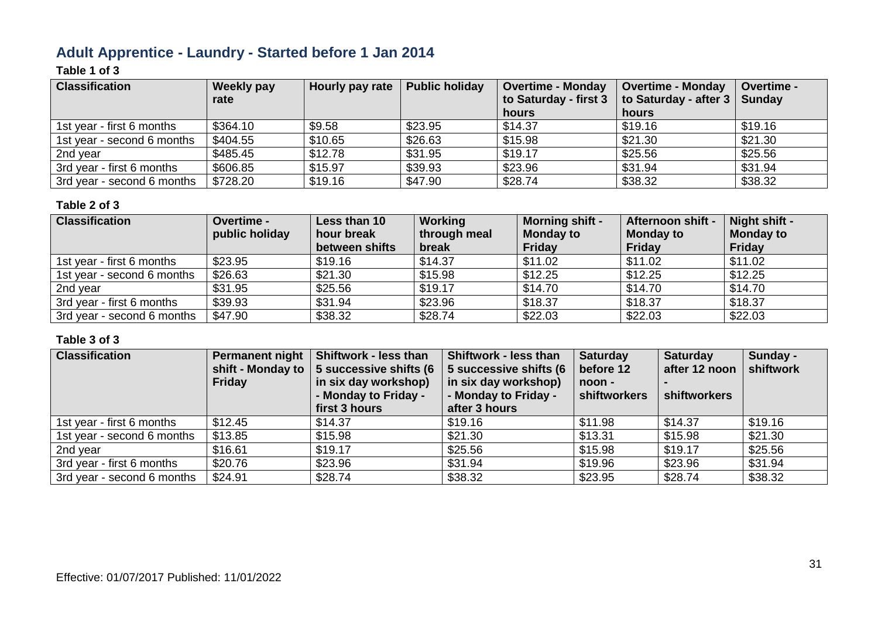# **Adult Apprentice - Laundry - Started before 1 Jan 2014**

### **Table 1 of 3**

| <b>Classification</b>      | <b>Weekly pay</b><br>rate | Hourly pay rate | <b>Public holiday</b> | Overtime - Monday<br>to Saturday - first 3 | <b>Overtime - Monday</b><br>to Saturday - after 3 | <b>Overtime -</b><br><b>Sunday</b> |
|----------------------------|---------------------------|-----------------|-----------------------|--------------------------------------------|---------------------------------------------------|------------------------------------|
|                            |                           |                 |                       | hours                                      | hours                                             |                                    |
| 1st year - first 6 months  | \$364.10                  | \$9.58          | \$23.95               | \$14.37                                    | \$19.16                                           | \$19.16                            |
| 1st year - second 6 months | \$404.55                  | \$10.65         | \$26.63               | \$15.98                                    | \$21.30                                           | \$21.30                            |
| 2nd year                   | \$485.45                  | \$12.78         | \$31.95               | \$19.17                                    | \$25.56                                           | \$25.56                            |
| 3rd year - first 6 months  | \$606.85                  | \$15.97         | \$39.93               | \$23.96                                    | \$31.94                                           | \$31.94                            |
| 3rd year - second 6 months | \$728.20                  | \$19.16         | \$47.90               | \$28.74                                    | \$38.32                                           | \$38.32                            |

#### **Table 2 of 3**

| <b>Classification</b>      | <b>Overtime -</b><br>public holiday | Less than 10<br>hour break<br>between shifts | Working<br>through meal<br>break | <b>Morning shift -</b><br><b>Monday to</b><br><b>Friday</b> | Afternoon shift -<br><b>Monday to</b><br><b>Friday</b> | Night shift -<br><b>Monday to</b><br><b>Friday</b> |
|----------------------------|-------------------------------------|----------------------------------------------|----------------------------------|-------------------------------------------------------------|--------------------------------------------------------|----------------------------------------------------|
| 1st year - first 6 months  | \$23.95                             | \$19.16                                      | \$14.37                          | \$11.02                                                     | \$11.02                                                | \$11.02                                            |
| 1st year - second 6 months | \$26.63                             | \$21.30                                      | \$15.98                          | \$12.25                                                     | \$12.25                                                | \$12.25                                            |
| 2nd year                   | \$31.95                             | \$25.56                                      | \$19.17                          | \$14.70                                                     | \$14.70                                                | \$14.70                                            |
| 3rd year - first 6 months  | \$39.93                             | \$31.94                                      | \$23.96                          | \$18.37                                                     | \$18.37                                                | \$18.37                                            |
| 3rd year - second 6 months | \$47.90                             | \$38.32                                      | \$28.74                          | \$22.03                                                     | \$22.03                                                | \$22.03                                            |

| <b>Classification</b>      | Friday  | Permanent night   Shiftwork - less than<br>shift - Monday to $\vert$ 5 successive shifts (6<br>in six day workshop)<br>- Monday to Friday -<br>first 3 hours | Shiftwork - less than<br>5 successive shifts (6<br>in six day workshop)<br>- Monday to Friday -<br>after 3 hours | <b>Saturday</b><br>before 12<br>noon -<br>shiftworkers | <b>Saturday</b><br>after 12 noon<br>shiftworkers | Sunday -<br>shiftwork |
|----------------------------|---------|--------------------------------------------------------------------------------------------------------------------------------------------------------------|------------------------------------------------------------------------------------------------------------------|--------------------------------------------------------|--------------------------------------------------|-----------------------|
| 1st year - first 6 months  | \$12.45 | \$14.37                                                                                                                                                      | \$19.16                                                                                                          | \$11.98                                                | \$14.37                                          | \$19.16               |
| 1st year - second 6 months | \$13.85 | \$15.98                                                                                                                                                      | \$21.30                                                                                                          | \$13.31                                                | \$15.98                                          | \$21.30               |
| 2nd year                   | \$16.61 | \$19.17                                                                                                                                                      | \$25.56                                                                                                          | \$15.98                                                | \$19.17                                          | \$25.56               |
| 3rd year - first 6 months  | \$20.76 | \$23.96                                                                                                                                                      | \$31.94                                                                                                          | \$19.96                                                | \$23.96                                          | \$31.94               |
| 3rd year - second 6 months | \$24.91 | \$28.74                                                                                                                                                      | \$38.32                                                                                                          | \$23.95                                                | \$28.74                                          | \$38.32               |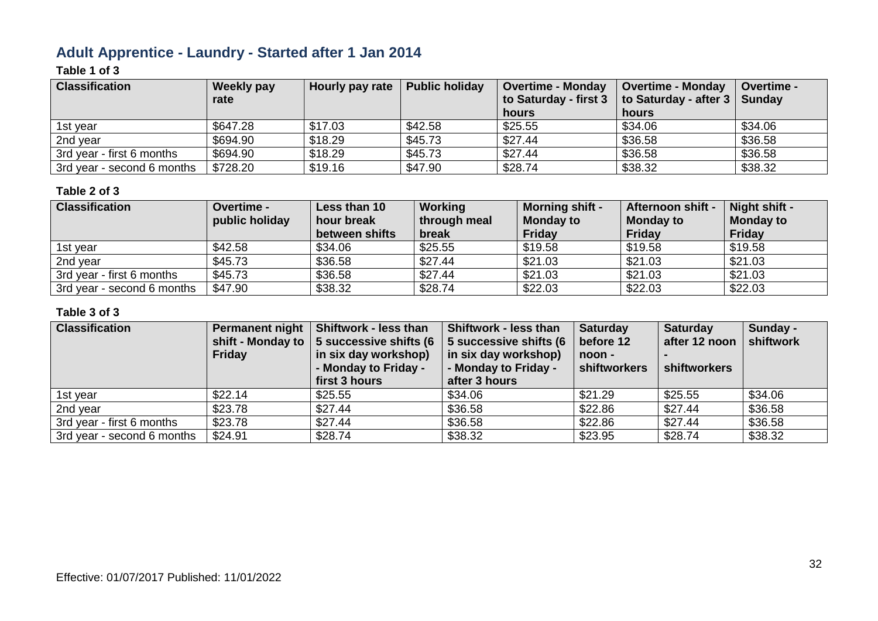# **Adult Apprentice - Laundry - Started after 1 Jan 2014**

### **Table 1 of 3**

| <b>Classification</b>      | <b>Weekly pay</b><br>rate | Hourly pay rate | <b>Public holiday</b> | <b>Overtime - Monday</b><br>to Saturday - first 3<br>hours | <b>Overtime - Monday</b><br>to Saturday - after 3   Sunday<br>hours | Overtime - |
|----------------------------|---------------------------|-----------------|-----------------------|------------------------------------------------------------|---------------------------------------------------------------------|------------|
| 1st year                   | \$647.28                  | \$17.03         | \$42.58               | \$25.55                                                    | \$34.06                                                             | \$34.06    |
| 2nd year                   | \$694.90                  | \$18.29         | \$45.73               | \$27.44                                                    | \$36.58                                                             | \$36.58    |
| 3rd year - first 6 months  | \$694.90                  | \$18.29         | \$45.73               | \$27.44                                                    | \$36.58                                                             | \$36.58    |
| 3rd year - second 6 months | \$728.20                  | \$19.16         | \$47.90               | \$28.74                                                    | \$38.32                                                             | \$38.32    |

#### **Table 2 of 3**

| <b>Classification</b>      | Overtime -     | Less than 10   | Working      | <b>Morning shift -</b> | Afternoon shift - | Night shift -    |
|----------------------------|----------------|----------------|--------------|------------------------|-------------------|------------------|
|                            | public holiday | hour break     | through meal | <b>Monday to</b>       | <b>Monday to</b>  | <b>Monday to</b> |
|                            |                | between shifts | break        | <b>Friday</b>          | <b>Friday</b>     | <b>Friday</b>    |
| 1st year                   | \$42.58        | \$34.06        | \$25.55      | \$19.58                | \$19.58           | \$19.58          |
| 2nd year                   | \$45.73        | \$36.58        | \$27.44      | \$21.03                | \$21.03           | \$21.03          |
| 3rd year - first 6 months  | \$45.73        | \$36.58        | \$27.44      | \$21.03                | \$21.03           | \$21.03          |
| 3rd year - second 6 months | \$47.90        | \$38.32        | \$28.74      | \$22.03                | \$22.03           | \$22.03          |

| <b>Classification</b>      | <b>Friday</b> | Permanent night   Shiftwork - less than<br>shift - Monday to $\vert$ 5 successive shifts (6<br>in six day workshop)<br>- Monday to Friday -<br>first 3 hours | Shiftwork - less than<br>5 successive shifts (6<br>in six day workshop)<br>- Monday to Friday -<br>after 3 hours | <b>Saturday</b><br>before 12<br>noon -<br>shiftworkers | <b>Saturday</b><br>after 12 noon<br>shiftworkers | Sunday -<br>shiftwork |
|----------------------------|---------------|--------------------------------------------------------------------------------------------------------------------------------------------------------------|------------------------------------------------------------------------------------------------------------------|--------------------------------------------------------|--------------------------------------------------|-----------------------|
| 1st year                   | \$22.14       | \$25.55                                                                                                                                                      | \$34.06                                                                                                          | \$21.29                                                | \$25.55                                          | \$34.06               |
| 2nd year                   | \$23.78       | \$27.44                                                                                                                                                      | \$36.58                                                                                                          | \$22.86                                                | \$27.44                                          | \$36.58               |
| 3rd year - first 6 months  | \$23.78       | \$27.44                                                                                                                                                      | \$36.58                                                                                                          | \$22.86                                                | \$27.44                                          | \$36.58               |
| 3rd year - second 6 months | \$24.91       | \$28.74                                                                                                                                                      | \$38.32                                                                                                          | \$23.95                                                | \$28.74                                          | \$38.32               |